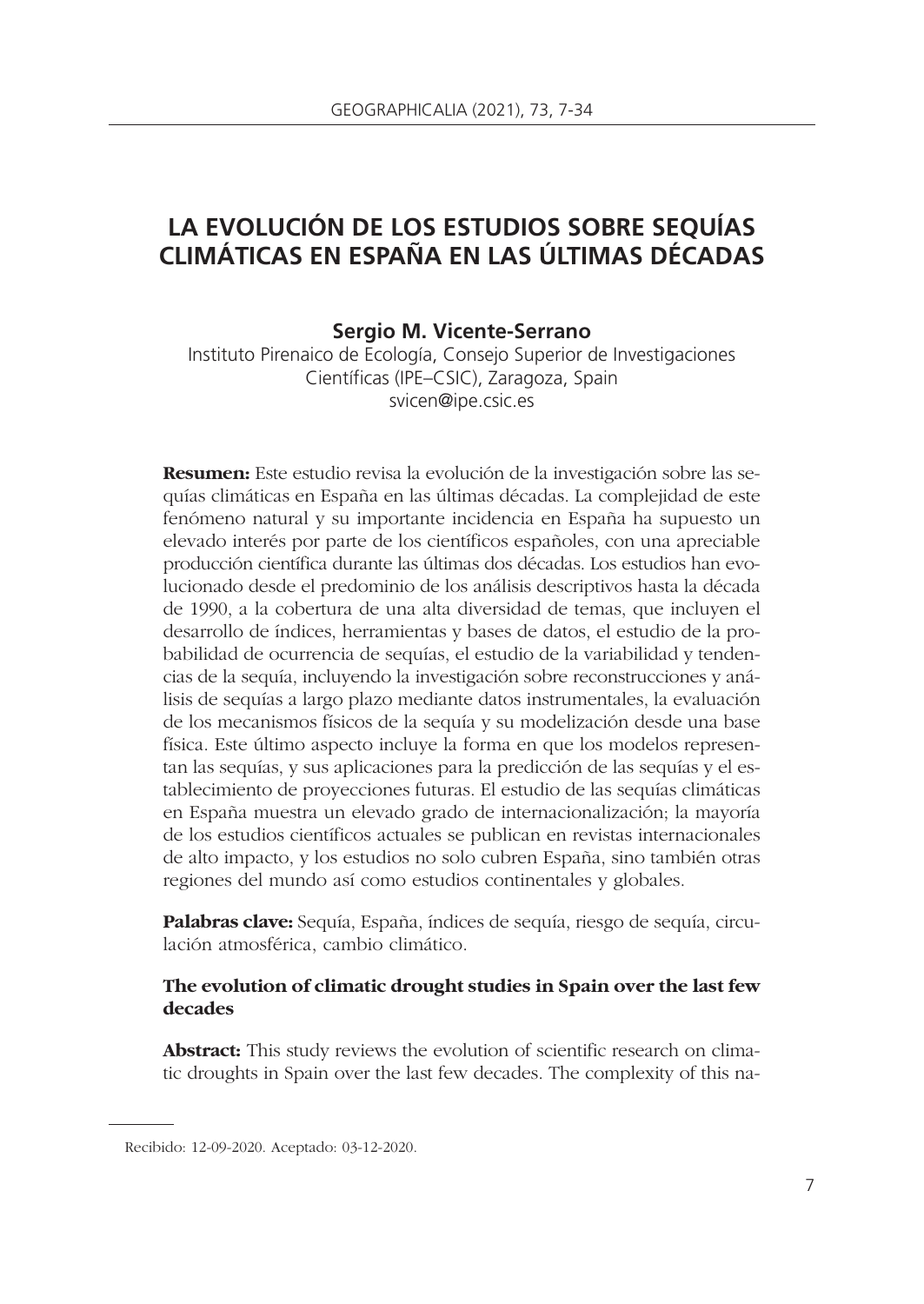# **LA EVOLUCIÓN DE LOS ESTUDIOS SOBRE SEQUÍAS CLIMÁTICAS EN ESPAÑA EN LAS ÚLTIMAS DÉCADAS**

#### **Sergio M. Vicente-Serrano**

Instituto Pirenaico de Ecología, Consejo Superior de Investigaciones Científicas (IPE–CSIC), Zaragoza, Spain svicen@ipe.csic.es

**Resumen:** Este estudio revisa la evolución de la investigación sobre las sequías climáticas en España en las últimas décadas. La complejidad de este fenómeno natural y su importante incidencia en España ha supuesto un elevado interés por parte de los científicos españoles, con una apreciable producción científica durante las últimas dos décadas. Los estudios han evolucionado desde el predominio de los análisis descriptivos hasta la década de 1990, a la cobertura de una alta diversidad de temas, que incluyen el desarrollo de índices, herramientas y bases de datos, el estudio de la probabilidad de ocurrencia de sequías, el estudio de la variabilidad y tenden cias de la sequía, incluyendo la investigación sobre reconstrucciones y análisis de sequías a largo plazo mediante datos instrumentales, la evaluación de los mecanismos físicos de la sequía y su modelización desde una base física. Este último aspecto incluye la forma en que los modelos representan las sequías, y sus aplicaciones para la predicción de las sequías y el establecimiento de proyecciones futuras. El estudio de las sequías climáticas en España muestra un elevado grado de internacionalización; la mayoría de los estudios científicos actuales se publican en revistas internacionales de alto impacto, y los estudios no solo cubren España, sino también otras regiones del mundo así como estudios continentales y globales.

**Palabras clave:** Sequía, España, índices de sequía, riesgo de sequía, circulación atmosférica, cambio climático.

## **The evolution of climatic drought studies in Spain over the last few decades**

Abstract: This study reviews the evolution of scientific research on climatic droughts in Spain over the last few decades. The complexity of this na-

Recibido: 12-09-2020. Aceptado: 03-12-2020.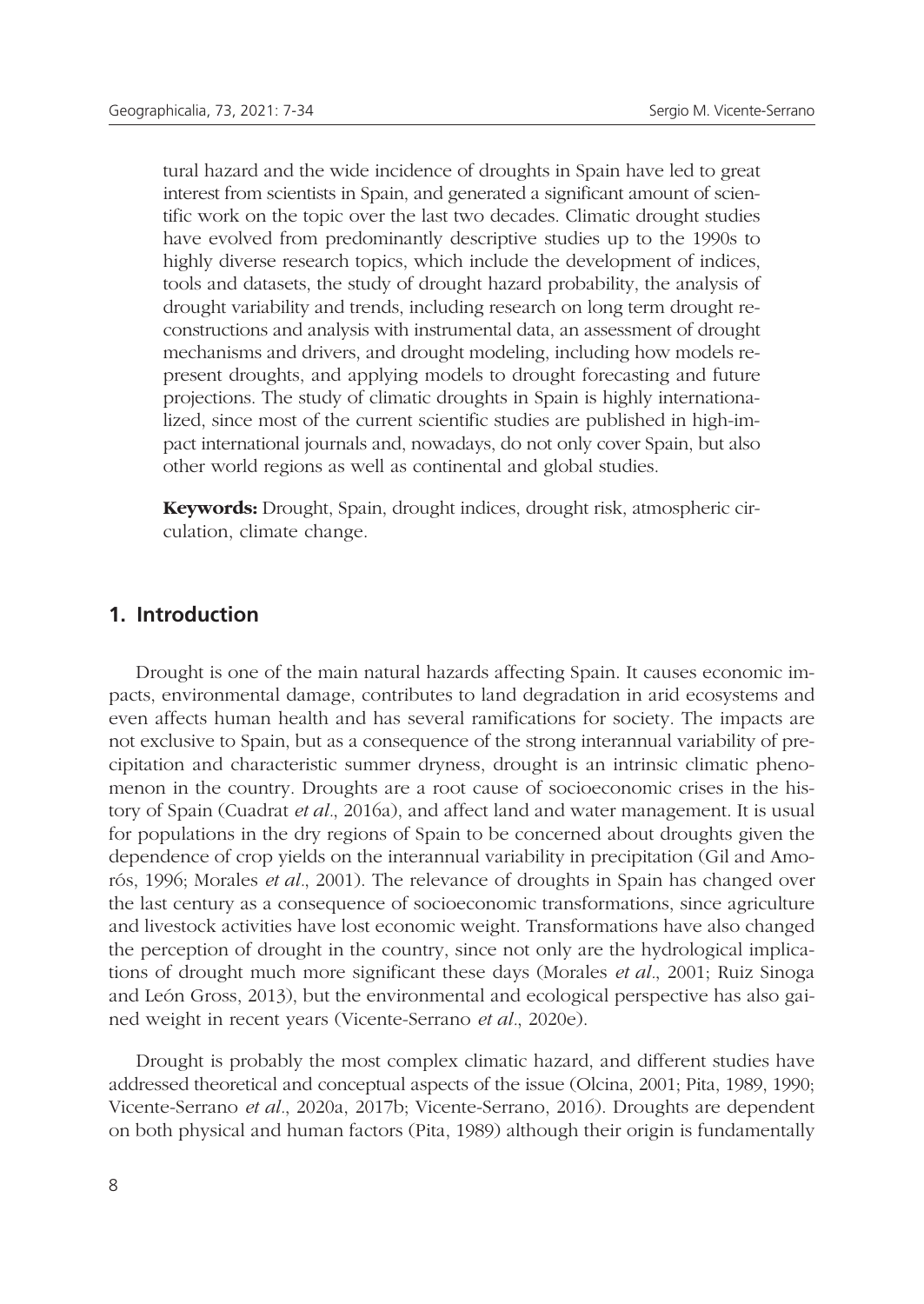tural hazard and the wide incidence of droughts in Spain have led to great interest from scientists in Spain, and generated a significant amount of scientific work on the topic over the last two decades. Climatic drought studies have evolved from predominantly descriptive studies up to the 1990s to highly diverse research topics, which include the development of indices, tools and datasets, the study of drought hazard probability, the analysis of drought variability and trends, including research on long term drought reconstructions and analysis with instrumental data, an assessment of drought mechanisms and drivers, and drought modeling, including how models represent droughts, and applying models to drought forecasting and future projections. The study of climatic droughts in Spain is highly internationalized, since most of the current scientific studies are published in high-impact international journals and, nowadays, do not only cover Spain, but also other world regions as well as continental and global studies.

**Keywords:** Drought, Spain, drought indices, drought risk, atmospheric circulation, climate change.

## **1. Introduction**

Drought is one of the main natural hazards affecting Spain. It causes economic impacts, environmental damage, contributes to land degradation in arid ecosystems and even affects human health and has several ramifications for society. The impacts are not exclusive to Spain, but as a consequence of the strong interannual variability of precipitation and characteristic summer dryness, drought is an intrinsic climatic phenomenon in the country. Droughts are a root cause of socioeconomic crises in the history of Spain (Cuadrat *et al.*, 2016a), and affect land and water management. It is usual for populations in the dry regions of Spain to be concerned about droughts given the dependence of crop yields on the interannual variability in precipitation (Gil and Amorós, 1996; Morales *et al.*, 2001). The relevance of droughts in Spain has changed over the last century as a consequence of socioeconomic transformations, since agriculture and livestock activities have lost economic weight. Transformations have also changed the perception of drought in the country, since not only are the hydrological implications of drought much more significant these days (Morales *et al.*, 2001; Ruiz Sinoga and León Gross, 2013), but the environmental and ecological perspective has also gained weight in recent years (Vicente-Serrano *et al.*, 2020e).

Drought is probably the most complex climatic hazard, and different studies have addressed theoretical and conceptual aspects of the issue (Olcina, 2001; Pita, 1989, 1990; Vicente-Serrano *et al.*, 2020a, 2017b; Vicente-Serrano, 2016). Droughts are dependent on both physical and human factors (Pita, 1989) although their origin is fundamentally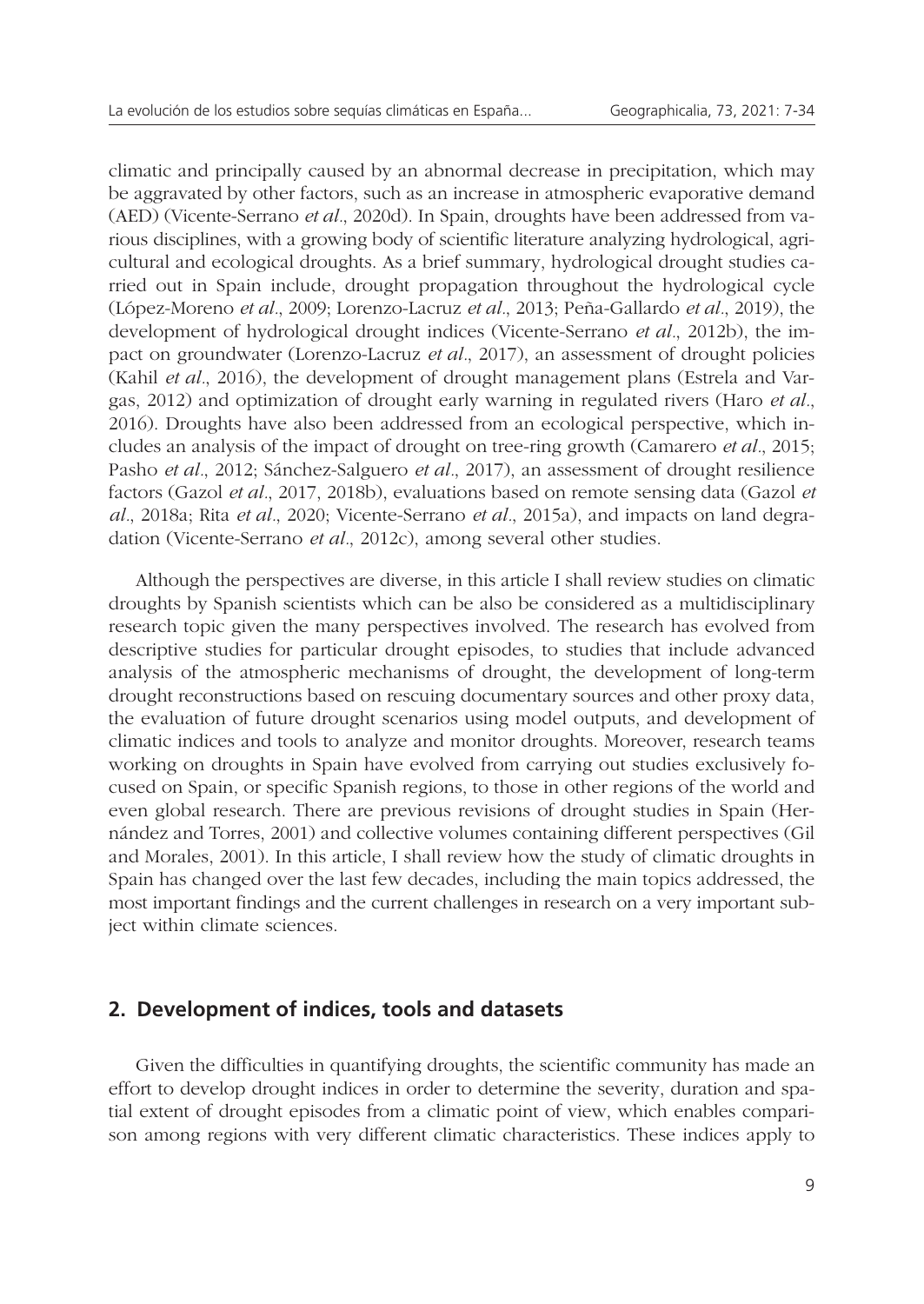climatic and principally caused by an abnormal decrease in precipitation, which may be aggravated by other factors, such as an increase in atmospheric evaporative demand (AED) (Vicente-Serrano *et al.*, 2020d). In Spain, droughts have been addressed from various disciplines, with a growing body of scientific literature analyzing hydrological, agricultural and ecological droughts. As a brief summary, hydrological drought studies carried out in Spain include, drought propagation throughout the hydrological cycle (López-Moreno *et al.*, 2009; Lorenzo-Lacruz *et al.*, 2013; Peña-Gallardo *et al.*, 2019), the development of hydrological drought indices (Vicente-Serrano *et al.*, 2012b), the impact on groundwater (Lorenzo-Lacruz *et al.*, 2017), an assessment of drought policies (Kahil *et al.*, 2016), the development of drought management plans (Estrela and Vargas, 2012) and optimization of drought early warning in regulated rivers (Haro *et al.*, 2016). Droughts have also been addressed from an ecological perspective, which includes an analysis of the impact of drought on tree-ring growth (Camarero *et al.*, 2015; Pasho *et al.*, 2012; Sánchez-Salguero *et al.*, 2017), an assessment of drought resilience factors (Gazol *et al.*, 2017, 2018b), evaluations based on remote sensing data (Gazol *et al.*, 2018a; Rita *et al.*, 2020; Vicente-Serrano *et al.*, 2015a), and impacts on land degradation (Vicente-Serrano *et al.*, 2012c), among several other studies.

Although the perspectives are diverse, in this article I shall review studies on climatic droughts by Spanish scientists which can be also be considered as a multidisciplinary research topic given the many perspectives involved. The research has evolved from descriptive studies for particular drought episodes, to studies that include advanced analysis of the atmospheric mechanisms of drought, the development of long-term drought reconstructions based on rescuing documentary sources and other proxy data, the evaluation of future drought scenarios using model outputs, and development of climatic indices and tools to analyze and monitor droughts. Moreover, research teams working on droughts in Spain have evolved from carrying out studies exclusively focused on Spain, or specific Spanish regions, to those in other regions of the world and even global research. There are previous revisions of drought studies in Spain (Hernández and Torres, 2001) and collective volumes containing different perspectives (Gil and Morales, 2001). In this article, I shall review how the study of climatic droughts in Spain has changed over the last few decades, including the main topics addressed, the most important findings and the current challenges in research on a very important subject within climate sciences.

# **2. Development of indices, tools and datasets**

Given the difficulties in quantifying droughts, the scientific community has made an effort to develop drought indices in order to determine the severity, duration and spatial extent of drought episodes from a climatic point of view, which enables comparison among regions with very different climatic characteristics. These indices apply to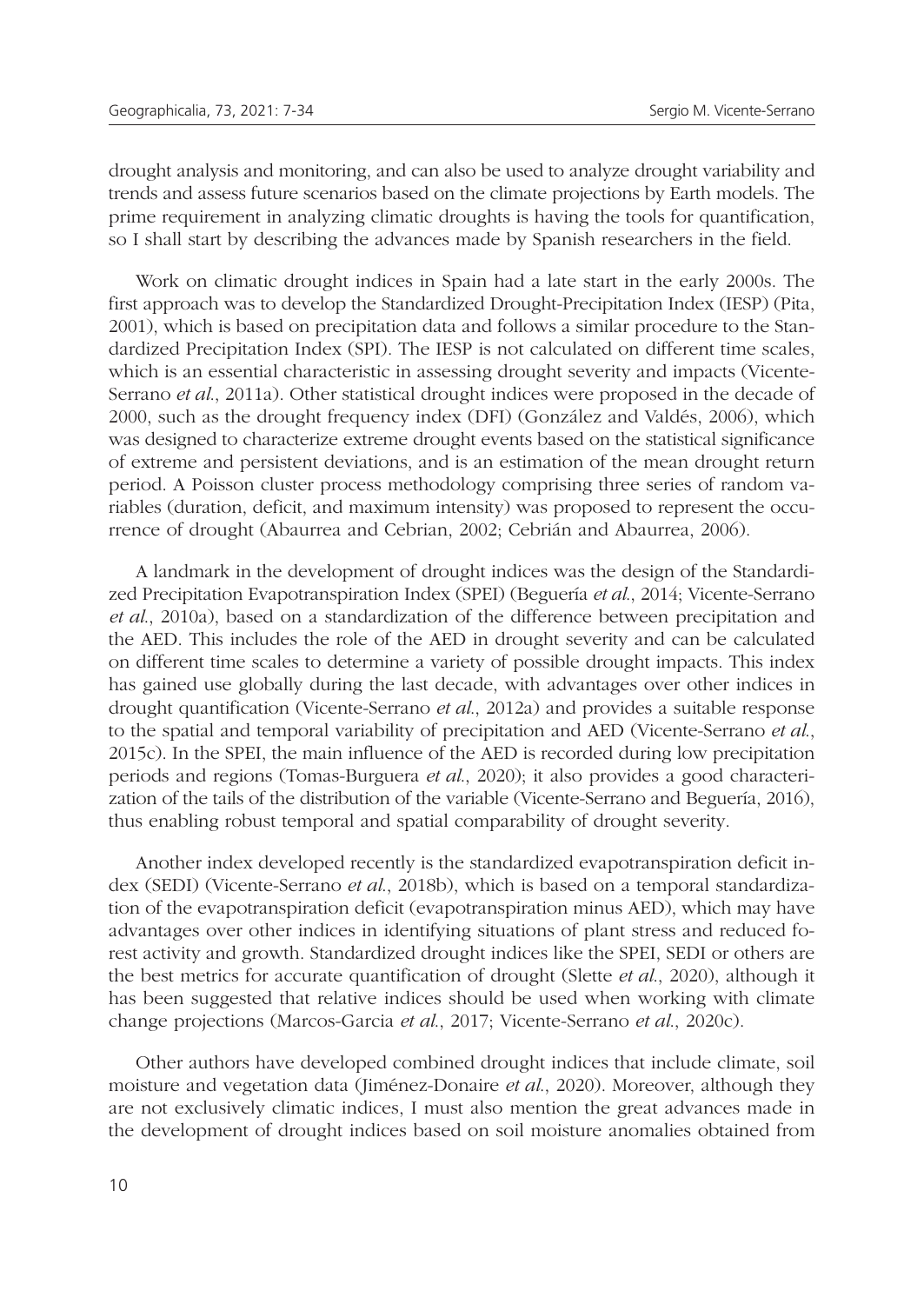drought analysis and monitoring, and can also be used to analyze drought variability and trends and assess future scenarios based on the climate projections by Earth models. The prime requirement in analyzing climatic droughts is having the tools for quantification, so I shall start by describing the advances made by Spanish researchers in the field.

Work on climatic drought indices in Spain had a late start in the early 2000s. The first approach was to develop the Standardized Drought-Precipitation Index (IESP) (Pita, 2001), which is based on precipitation data and follows a similar procedure to the Standardized Precipitation Index (SPI). The IESP is not calculated on different time scales, which is an essential characteristic in assessing drought severity and impacts (Vicente-Serrano *et al*., 2011a). Other statistical drought indices were proposed in the decade of 2000, such as the drought frequency index (DFI) (González and Valdés, 2006), which was designed to characterize extreme drought events based on the statistical significance of extreme and persistent deviations, and is an estimation of the mean drought return period. A Poisson cluster process methodology comprising three series of random variables (duration, deficit, and maximum intensity) was proposed to represent the occurrence of drought (Abaurrea and Cebrian, 2002; Cebrián and Abaurrea, 2006).

A landmark in the development of drought indices was the design of the Standardized Precipitation Evapotranspiration Index (SPEI) (Beguería *et al*., 2014; Vicente-Serrano *et al*., 2010a), based on a standardization of the difference between precipitation and the AED. This includes the role of the AED in drought severity and can be calculated on different time scales to determine a variety of possible drought impacts. This index has gained use globally during the last decade, with advantages over other indices in drought quantification (Vicente-Serrano *et al*., 2012a) and provides a suitable response to the spatial and temporal variability of precipitation and AED (Vicente-Serrano *et al*., 2015c). In the SPEI, the main influence of the AED is recorded during low precipitation periods and regions (Tomas-Burguera *et al*., 2020); it also provides a good characterization of the tails of the distribution of the variable (Vicente-Serrano and Beguería, 2016), thus enabling robust temporal and spatial comparability of drought severity.

Another index developed recently is the standardized evapotranspiration deficit index (SEDI) (Vicente-Serrano *et al*., 2018b), which is based on a temporal standardization of the evapotranspiration deficit (evapotranspiration minus AED), which may have advantages over other indices in identifying situations of plant stress and reduced forest activity and growth. Standardized drought indices like the SPEI, SEDI or others are the best metrics for accurate quantification of drought (Slette *et al*., 2020), although it has been suggested that relative indices should be used when working with climate change projections (Marcos-Garcia *et al*., 2017; Vicente-Serrano *et al*., 2020c).

Other authors have developed combined drought indices that include climate, soil moisture and vegetation data (Jiménez-Donaire *et al*., 2020). Moreover, although they are not exclusively climatic indices, I must also mention the great advances made in the development of drought indices based on soil moisture anomalies obtained from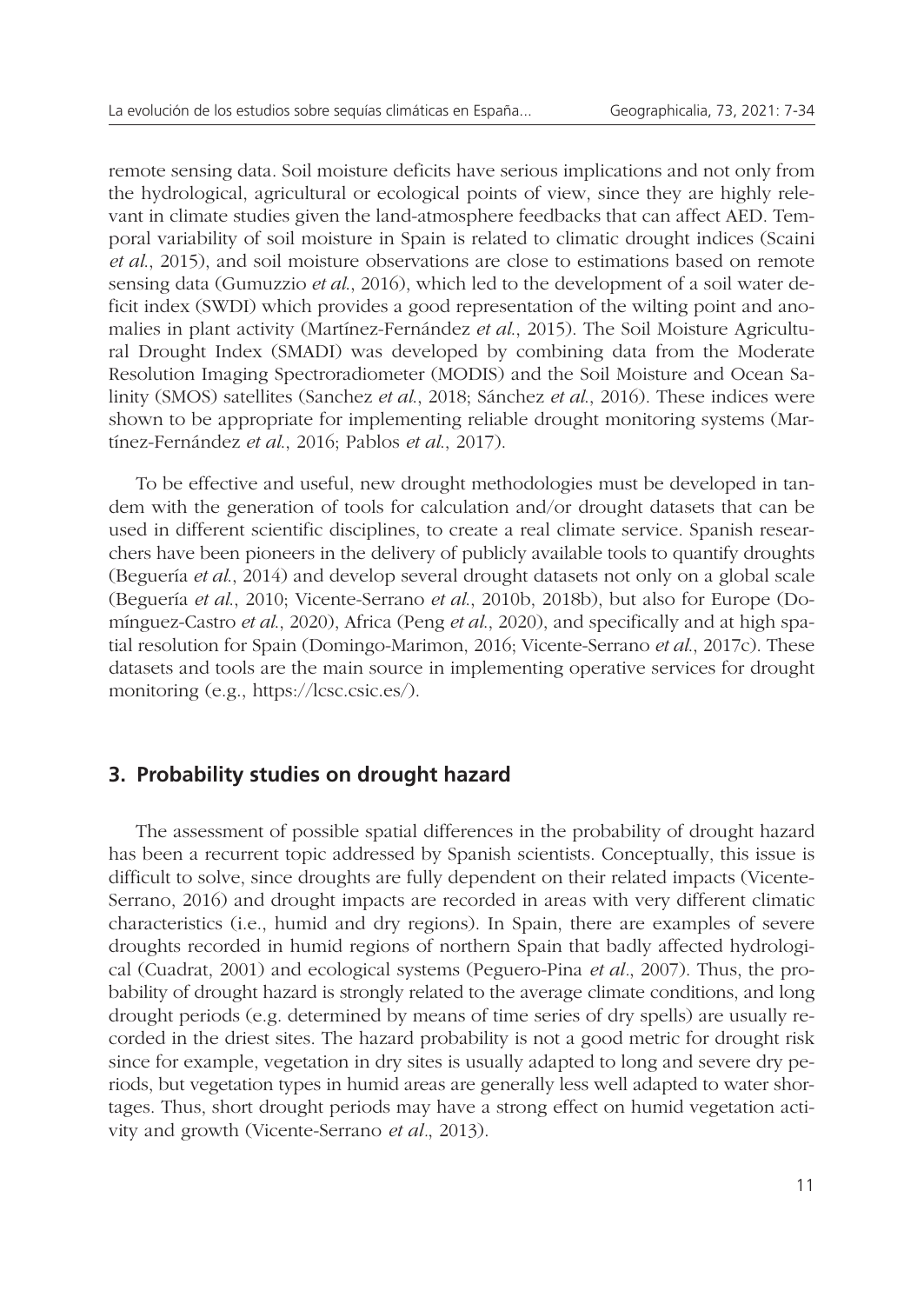remote sensing data. Soil moisture deficits have serious implications and not only from the hydrological, agricultural or ecological points of view, since they are highly relevant in climate studies given the land-atmosphere feedbacks that can affect AED. Temporal variability of soil moisture in Spain is related to climatic drought indices (Scaini *et al*., 2015), and soil moisture observations are close to estimations based on remote sensing data (Gumuzzio *et al*., 2016), which led to the development of a soil water deficit index (SWDI) which provides a good representation of the wilting point and anomalies in plant activity (Martínez-Fernández *et al*., 2015). The Soil Moisture Agricultural Drought Index (SMADI) was developed by combining data from the Moderate Resolution Imaging Spectroradiometer (MODIS) and the Soil Moisture and Ocean Salinity (SMOS) satellites (Sanchez *et al*., 2018; Sánchez *et al*., 2016). These indices were shown to be appropriate for implementing reliable drought monitoring systems (Martínez-Fernández *et al*., 2016; Pablos *et al*., 2017).

To be effective and useful, new drought methodologies must be developed in tandem with the generation of tools for calculation and/or drought datasets that can be used in different scientific disciplines, to create a real climate service. Spanish researchers have been pioneers in the delivery of publicly available tools to quantify droughts (Beguería *et al*., 2014) and develop several drought datasets not only on a global scale (Beguería *et al*., 2010; Vicente-Serrano *et al*., 2010b, 2018b), but also for Europe (Domínguez-Castro *et al*., 2020), Africa (Peng *et al*., 2020), and specifically and at high spatial resolution for Spain (Domingo-Marimon, 2016; Vicente-Serrano *et al*., 2017c). These datasets and tools are the main source in implementing operative services for drought monitoring (e.g., https://lcsc.csic.es/).

## **3. Probability studies on drought hazard**

The assessment of possible spatial differences in the probability of drought hazard has been a recurrent topic addressed by Spanish scientists. Conceptually, this issue is difficult to solve, since droughts are fully dependent on their related impacts (Vicente-Serrano, 2016) and drought impacts are recorded in areas with very different climatic characteristics (i.e., humid and dry regions). In Spain, there are examples of severe droughts recorded in humid regions of northern Spain that badly affected hydrological (Cuadrat, 2001) and ecological systems (Peguero-Pina *et al.*, 2007). Thus, the probability of drought hazard is strongly related to the average climate conditions, and long drought periods (e.g. determined by means of time series of dry spells) are usually recorded in the driest sites. The hazard probability is not a good metric for drought risk since for example, vegetation in dry sites is usually adapted to long and severe dry periods, but vegetation types in humid areas are generally less well adapted to water shortages. Thus, short drought periods may have a strong effect on humid vegetation activity and growth (Vicente-Serrano *et al.*, 2013).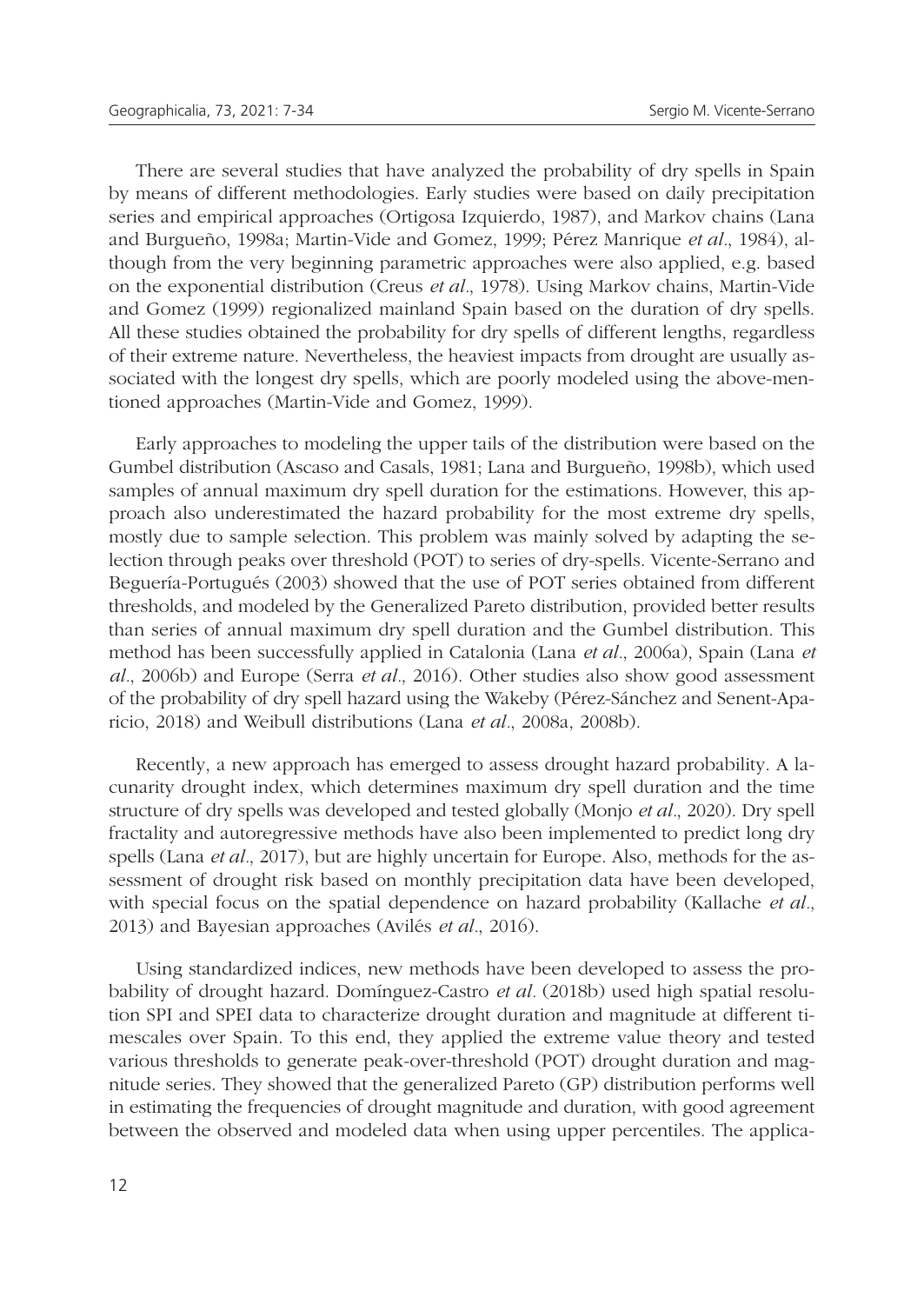There are several studies that have analyzed the probability of dry spells in Spain by means of different methodologies. Early studies were based on daily precipitation series and empirical approaches (Ortigosa Izquierdo, 1987), and Markov chains (Lana and Burgueño, 1998a; Martin-Vide and Gomez, 1999; Pérez Manrique *et al.*, 1984), although from the very beginning parametric approaches were also applied, e.g. based on the exponential distribution (Creus *et al.*, 1978). Using Markov chains, Martin-Vide and Gomez (1999) regionalized mainland Spain based on the duration of dry spells. All these studies obtained the probability for dry spells of different lengths, regardless of their extreme nature. Nevertheless, the heaviest impacts from drought are usually associated with the longest dry spells, which are poorly modeled using the above-mentioned approaches (Martin-Vide and Gomez, 1999).

Early approaches to modeling the upper tails of the distribution were based on the Gumbel distribution (Ascaso and Casals, 1981; Lana and Burgueño, 1998b), which used samples of annual maximum dry spell duration for the estimations. However, this approach also underestimated the hazard probability for the most extreme dry spells, mostly due to sample selection. This problem was mainly solved by adapting the selection through peaks over threshold (POT) to series of dry-spells. Vicente-Serrano and Beguería-Portugués (2003) showed that the use of POT series obtained from different thresholds, and modeled by the Generalized Pareto distribution, provided better results than series of annual maximum dry spell duration and the Gumbel distribution. This method has been successfully applied in Catalonia (Lana *et al.*, 2006a), Spain (Lana *et al.*, 2006b) and Europe (Serra *et al.*, 2016). Other studies also show good assessment of the probability of dry spell hazard using the Wakeby (Pérez-Sánchez and Senent-Aparicio, 2018) and Weibull distributions (Lana *et al.*, 2008a, 2008b).

Recently, a new approach has emerged to assess drought hazard probability. A lacunarity drought index, which determines maximum dry spell duration and the time structure of dry spells was developed and tested globally (Monjo *et al.*, 2020). Dry spell fractality and autoregressive methods have also been implemented to predict long dry spells (Lana *et al.*, 2017), but are highly uncertain for Europe. Also, methods for the assessment of drought risk based on monthly precipitation data have been developed, with special focus on the spatial dependence on hazard probability (Kallache *et al.*, 2013) and Bayesian approaches (Avilés *et al.*, 2016).

Using standardized indices, new methods have been developed to assess the probability of drought hazard. Domínguez-Castro *et al.* (2018b) used high spatial resolution SPI and SPEI data to characterize drought duration and magnitude at different timescales over Spain. To this end, they applied the extreme value theory and tested various thresholds to generate peak-over-threshold (POT) drought duration and magnitude series. They showed that the generalized Pareto (GP) distribution performs well in estimating the frequencies of drought magnitude and duration, with good agreement between the observed and modeled data when using upper percentiles. The applica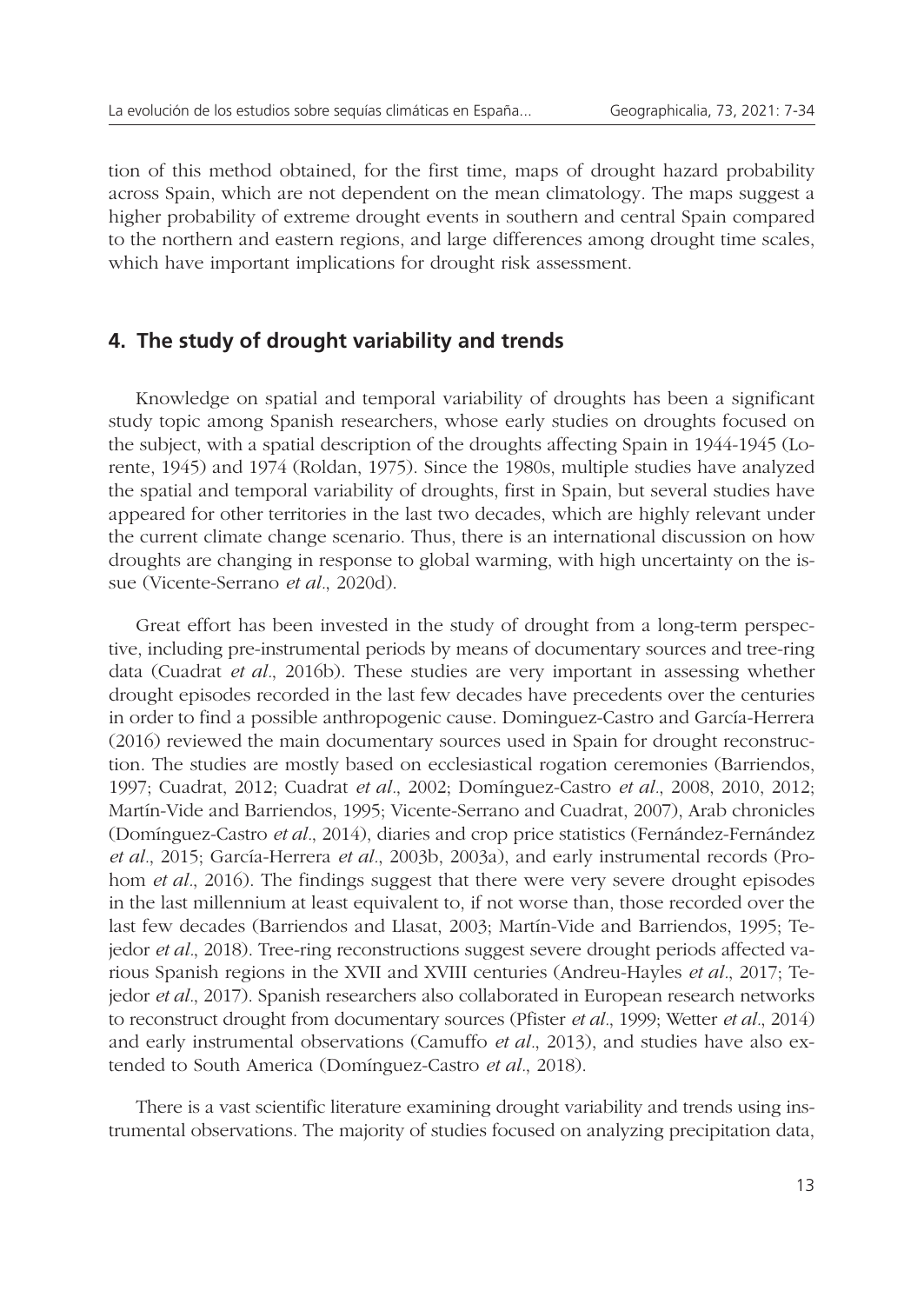tion of this method obtained, for the first time, maps of drought hazard probability across Spain, which are not dependent on the mean climatology. The maps suggest a higher probability of extreme drought events in southern and central Spain compared to the northern and eastern regions, and large differences among drought time scales, which have important implications for drought risk assessment.

## **4. The study of drought variability and trends**

Knowledge on spatial and temporal variability of droughts has been a significant study topic among Spanish researchers, whose early studies on droughts focused on the subject, with a spatial description of the droughts affecting Spain in 1944-1945 (Lorente, 1945) and 1974 (Roldan, 1975). Since the 1980s, multiple studies have analyzed the spatial and temporal variability of droughts, first in Spain, but several studies have appeared for other territories in the last two decades, which are highly relevant under the current climate change scenario. Thus, there is an international discussion on how droughts are changing in response to global warming, with high uncertainty on the issue (Vicente-Serrano *et al.*, 2020d).

Great effort has been invested in the study of drought from a long-term perspective, including pre-instrumental periods by means of documentary sources and tree-ring data (Cuadrat *et al.*, 2016b). These studies are very important in assessing whether drought episodes recorded in the last few decades have precedents over the centuries in order to find a possible anthropogenic cause. Dominguez-Castro and García-Herrera (2016) reviewed the main documentary sources used in Spain for drought reconstruction. The studies are mostly based on ecclesiastical rogation ceremonies (Barriendos, 1997; Cuadrat, 2012; Cuadrat *et al.*, 2002; Domínguez-Castro *et al.*, 2008, 2010, 2012; Martín-Vide and Barriendos, 1995; Vicente-Serrano and Cuadrat, 2007), Arab chronicles (Domínguez-Castro *et al.*, 2014), diaries and crop price statistics (Fernández-Fernández *et al.*, 2015; García-Herrera *et al.*, 2003b, 2003a), and early instrumental records (Prohom *et al.*, 2016). The findings suggest that there were very severe drought episodes in the last millennium at least equivalent to, if not worse than, those recorded over the last few decades (Barriendos and Llasat, 2003; Martín-Vide and Barriendos, 1995; Tejedor *et al.*, 2018). Tree-ring reconstructions suggest severe drought periods affected various Spanish regions in the XVII and XVIII centuries (Andreu-Hayles *et al.*, 2017; Tejedor *et al.*, 2017). Spanish researchers also collaborated in European research networks to reconstruct drought from documentary sources (Pfister *et al.*, 1999; Wetter *et al.*, 2014) and early instrumental observations (Camuffo *et al.*, 2013), and studies have also extended to South America (Domínguez-Castro *et al.*, 2018).

There is a vast scientific literature examining drought variability and trends using instrumental observations. The majority of studies focused on analyzing precipitation data,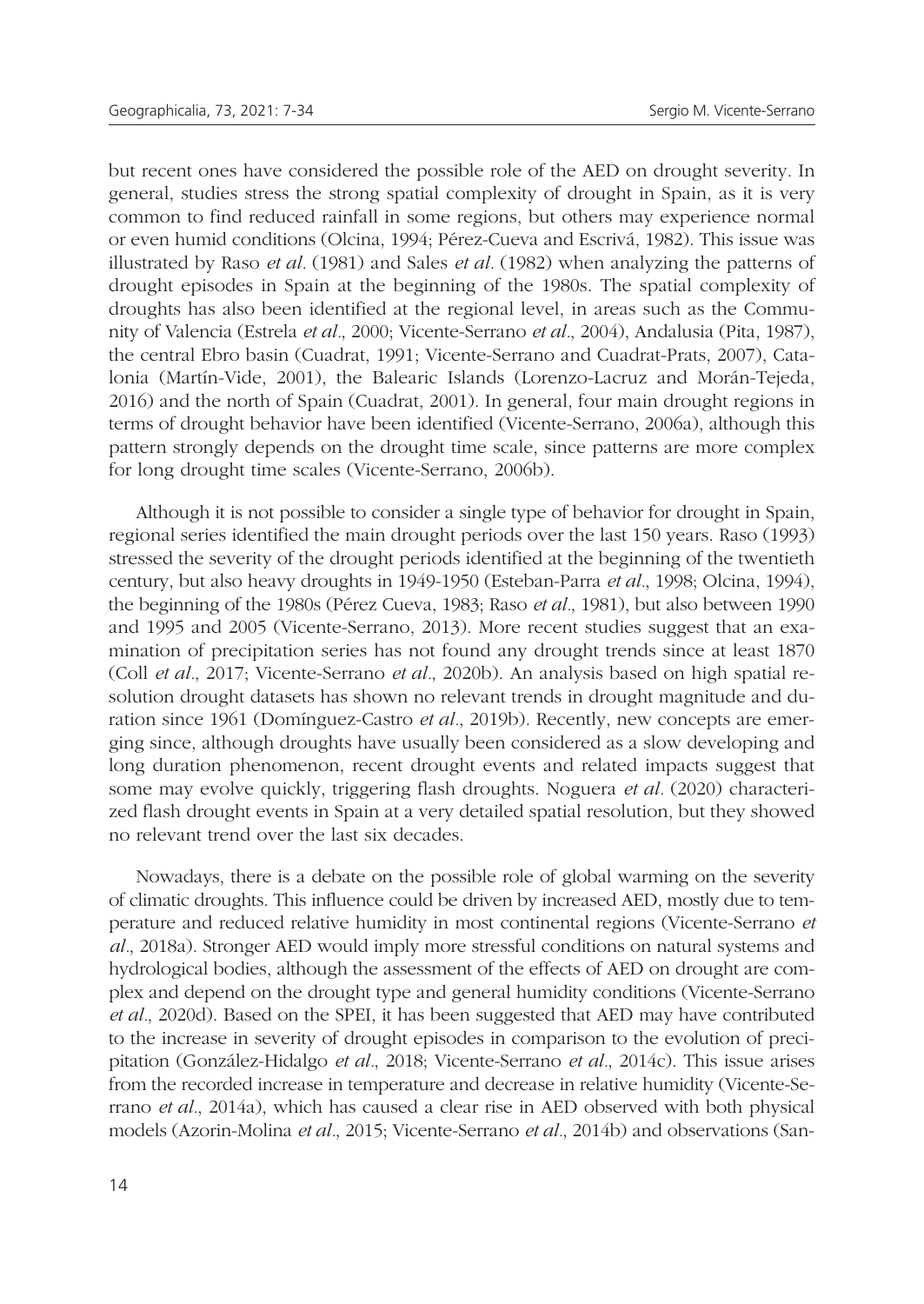but recent ones have considered the possible role of the AED on drought severity. In general, studies stress the strong spatial complexity of drought in Spain, as it is very common to find reduced rainfall in some regions, but others may experience normal or even humid conditions (Olcina, 1994; Pérez-Cueva and Escrivá, 1982). This issue was illustrated by Raso *et al.* (1981) and Sales *et al.* (1982) when analyzing the patterns of drought episodes in Spain at the beginning of the 1980s. The spatial complexity of droughts has also been identified at the regional level, in areas such as the Community of Valencia (Estrela *et al.*, 2000; Vicente-Serrano *et al.*, 2004), Andalusia (Pita, 1987), the central Ebro basin (Cuadrat, 1991; Vicente-Serrano and Cuadrat-Prats, 2007), Catalonia (Martín-Vide, 2001), the Balearic Islands (Lorenzo-Lacruz and Morán-Tejeda, 2016) and the north of Spain (Cuadrat, 2001). In general, four main drought regions in terms of drought behavior have been identified (Vicente-Serrano, 2006a), although this pattern strongly depends on the drought time scale, since patterns are more complex for long drought time scales (Vicente-Serrano, 2006b).

Although it is not possible to consider a single type of behavior for drought in Spain, regional series identified the main drought periods over the last 150 years. Raso (1993) stressed the severity of the drought periods identified at the beginning of the twentieth century, but also heavy droughts in 1949-1950 (Esteban-Parra *et al.*, 1998; Olcina, 1994), the beginning of the 1980s (Pérez Cueva, 1983; Raso *et al.*, 1981), but also between 1990 and 1995 and 2005 (Vicente-Serrano, 2013). More recent studies suggest that an examination of precipitation series has not found any drought trends since at least 1870 (Coll *et al.*, 2017; Vicente-Serrano *et al.*, 2020b). An analysis based on high spatial resolution drought datasets has shown no relevant trends in drought magnitude and duration since 1961 (Domínguez-Castro *et al.*, 2019b). Recently, new concepts are emerging since, although droughts have usually been considered as a slow developing and long duration phenomenon, recent drought events and related impacts suggest that some may evolve quickly, triggering flash droughts. Noguera *et al.* (2020) characterized flash drought events in Spain at a very detailed spatial resolution, but they showed no relevant trend over the last six decades.

Nowadays, there is a debate on the possible role of global warming on the severity of climatic droughts. This influence could be driven by increased AED, mostly due to temperature and reduced relative humidity in most continental regions (Vicente-Serrano *et al.*, 2018a). Stronger AED would imply more stressful conditions on natural systems and hydrological bodies, although the assessment of the effects of AED on drought are complex and depend on the drought type and general humidity conditions (Vicente-Serrano *et al.*, 2020d). Based on the SPEI, it has been suggested that AED may have contributed to the increase in severity of drought episodes in comparison to the evolution of precipitation (González-Hidalgo *et al.*, 2018; Vicente-Serrano *et al.*, 2014c). This issue arises from the recorded increase in temperature and decrease in relative humidity (Vicente-Serrano *et al.*, 2014a), which has caused a clear rise in AED observed with both physical models (Azorin-Molina *et al.*, 2015; Vicente-Serrano *et al.*, 2014b) and observations (San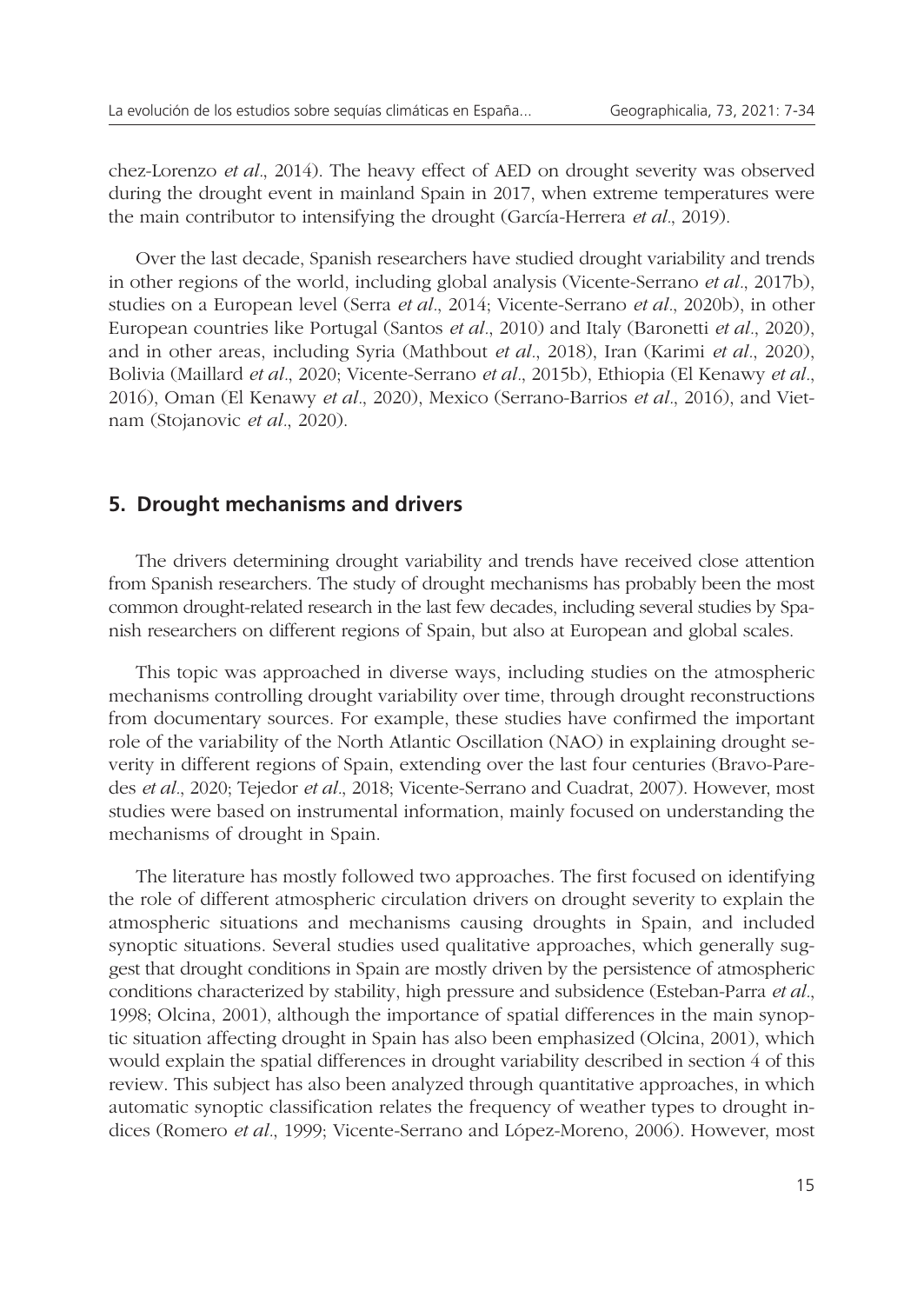chez-Lorenzo *et al.*, 2014). The heavy effect of AED on drought severity was observed during the drought event in mainland Spain in 2017, when extreme temperatures were the main contributor to intensifying the drought (García-Herrera *et al.*, 2019).

Over the last decade, Spanish researchers have studied drought variability and trends in other regions of the world, including global analysis (Vicente-Serrano *et al.*, 2017b), studies on a European level (Serra *et al.*, 2014; Vicente-Serrano *et al.*, 2020b), in other European countries like Portugal (Santos *et al.*, 2010) and Italy (Baronetti *et al.*, 2020), and in other areas, including Syria (Mathbout *et al.*, 2018), Iran (Karimi *et al.*, 2020), Bolivia (Maillard *et al.*, 2020; Vicente-Serrano *et al.*, 2015b), Ethiopia (El Kenawy *et al.*, 2016), Oman (El Kenawy *et al.*, 2020), Mexico (Serrano-Barrios *et al.*, 2016), and Vietnam (Stojanovic *et al.*, 2020).

## **5. Drought mechanisms and drivers**

The drivers determining drought variability and trends have received close attention from Spanish researchers. The study of drought mechanisms has probably been the most common drought-related research in the last few decades, including several studies by Spanish researchers on different regions of Spain, but also at European and global scales.

This topic was approached in diverse ways, including studies on the atmospheric mechanisms controlling drought variability over time, through drought reconstructions from documentary sources. For example, these studies have confirmed the important role of the variability of the North Atlantic Oscillation (NAO) in explaining drought severity in different regions of Spain, extending over the last four centuries (Bravo-Paredes *et al.*, 2020; Tejedor *et al.*, 2018; Vicente-Serrano and Cuadrat, 2007). However, most studies were based on instrumental information, mainly focused on understanding the mechanisms of drought in Spain.

The literature has mostly followed two approaches. The first focused on identifying the role of different atmospheric circulation drivers on drought severity to explain the atmospheric situations and mechanisms causing droughts in Spain, and included synoptic situations. Several studies used qualitative approaches, which generally suggest that drought conditions in Spain are mostly driven by the persistence of atmospheric conditions characterized by stability, high pressure and subsidence (Esteban-Parra *et al.*, 1998; Olcina, 2001), although the importance of spatial differences in the main synoptic situation affecting drought in Spain has also been emphasized (Olcina, 2001), which would explain the spatial differences in drought variability described in section 4 of this review. This subject has also been analyzed through quantitative approaches, in which automatic synoptic classification relates the frequency of weather types to drought indices (Romero *et al.*, 1999; Vicente-Serrano and López-Moreno, 2006). However, most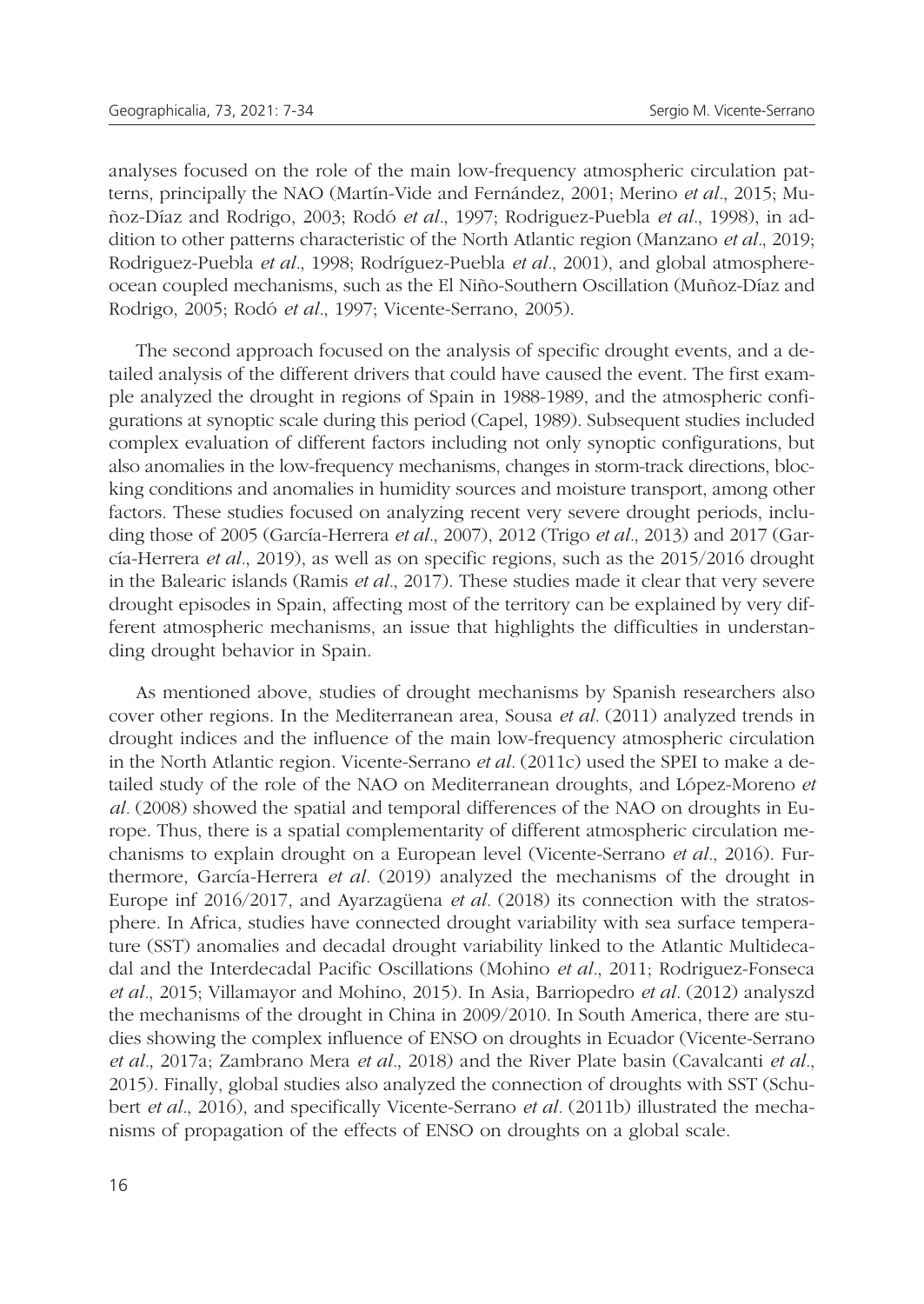analyses focused on the role of the main low-frequency atmospheric circulation patterns, principally the NAO (Martín-Vide and Fernández, 2001; Merino *et al.*, 2015; Muñoz-Díaz and Rodrigo, 2003; Rodó *et al.*, 1997; Rodriguez-Puebla *et al.*, 1998), in addition to other patterns characteristic of the North Atlantic region (Manzano *et al.*, 2019; Rodriguez-Puebla *et al.*, 1998; Rodríguez-Puebla *et al.*, 2001), and global atmosphereocean coupled mechanisms, such as the El Niño-Southern Oscillation (Muñoz-Díaz and Rodrigo, 2005; Rodó *et al.*, 1997; Vicente-Serrano, 2005).

The second approach focused on the analysis of specific drought events, and a detailed analysis of the different drivers that could have caused the event. The first example analyzed the drought in regions of Spain in 1988-1989, and the atmospheric configurations at synoptic scale during this period (Capel, 1989). Subsequent studies included complex evaluation of different factors including not only synoptic configurations, but also anomalies in the low-frequency mechanisms, changes in storm-track directions, blocking conditions and anomalies in humidity sources and moisture transport, among other factors. These studies focused on analyzing recent very severe drought periods, including those of 2005 (García-Herrera *et al.*, 2007), 2012 (Trigo *et al.*, 2013) and 2017 (García-Herrera *et al.*, 2019), as well as on specific regions, such as the 2015/2016 drought in the Balearic islands (Ramis *et al.*, 2017). These studies made it clear that very severe drought episodes in Spain, affecting most of the territory can be explained by very different atmospheric mechanisms, an issue that highlights the difficulties in understanding drought behavior in Spain.

As mentioned above, studies of drought mechanisms by Spanish researchers also cover other regions. In the Mediterranean area, Sousa *et al.* (2011) analyzed trends in drought indices and the influence of the main low-frequency atmospheric circulation in the North Atlantic region. Vicente-Serrano *et al.* (2011c) used the SPEI to make a detailed study of the role of the NAO on Mediterranean droughts, and López-Moreno *et al.* (2008) showed the spatial and temporal differences of the NAO on droughts in Europe. Thus, there is a spatial complementarity of different atmospheric circulation mechanisms to explain drought on a European level (Vicente-Serrano *et al.*, 2016). Furthermore, García-Herrera *et al.* (2019) analyzed the mechanisms of the drought in Europe inf 2016/2017, and Ayarzagüena *et al.* (2018) its connection with the stratosphere. In Africa, studies have connected drought variability with sea surface temperature (SST) anomalies and decadal drought variability linked to the Atlantic Multidecadal and the Interdecadal Pacific Oscillations (Mohino *et al.*, 2011; Rodriguez-Fonseca *et al.*, 2015; Villamayor and Mohino, 2015). In Asia, Barriopedro *et al.* (2012) analyszd the mechanisms of the drought in China in 2009/2010. In South America, there are studies showing the complex influence of ENSO on droughts in Ecuador (Vicente-Serrano *et al.*, 2017a; Zambrano Mera *et al.*, 2018) and the River Plate basin (Cavalcanti *et al.*, 2015). Finally, global studies also analyzed the connection of droughts with SST (Schubert *et al.*, 2016), and specifically Vicente-Serrano *et al.* (2011b) illustrated the mechanisms of propagation of the effects of ENSO on droughts on a global scale.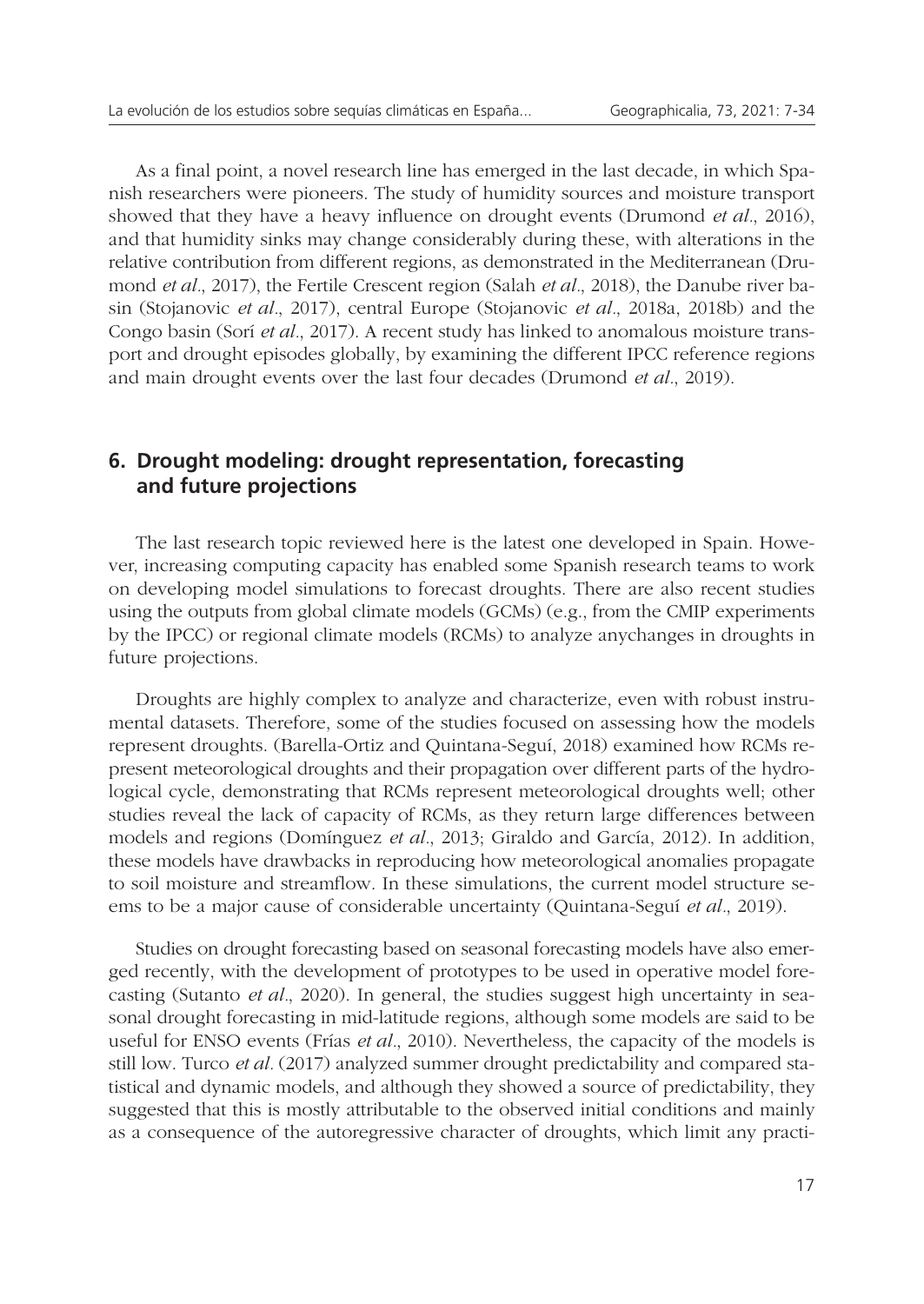As a final point, a novel research line has emerged in the last decade, in which Spanish researchers were pioneers. The study of humidity sources and moisture transport showed that they have a heavy influence on drought events (Drumond *et al.*, 2016), and that humidity sinks may change considerably during these, with alterations in the relative contribution from different regions, as demonstrated in the Mediterranean (Drumond *et al.*, 2017), the Fertile Crescent region (Salah *et al.*, 2018), the Danube river basin (Stojanovic *et al.*, 2017), central Europe (Stojanovic *et al.*, 2018a, 2018b) and the Congo basin (Sorí *et al.*, 2017). A recent study has linked to anomalous moisture transport and drought episodes globally, by examining the different IPCC reference regions and main drought events over the last four decades (Drumond *et al.*, 2019).

# **6. Drought modeling: drought representation, forecasting and future projections**

The last research topic reviewed here is the latest one developed in Spain. However, increasing computing capacity has enabled some Spanish research teams to work on developing model simulations to forecast droughts. There are also recent studies using the outputs from global climate models (GCMs) (e.g., from the CMIP experiments by the IPCC) or regional climate models (RCMs) to analyze anychanges in droughts in future projections.

Droughts are highly complex to analyze and characterize, even with robust instrumental datasets. Therefore, some of the studies focused on assessing how the models represent droughts. (Barella-Ortiz and Quintana-Seguí, 2018) examined how RCMs represent meteorological droughts and their propagation over different parts of the hydrological cycle, demonstrating that RCMs represent meteorological droughts well; other studies reveal the lack of capacity of RCMs, as they return large differences between models and regions (Domínguez *et al.*, 2013; Giraldo and García, 2012). In addition, these models have drawbacks in reproducing how meteorological anomalies propagate to soil moisture and streamflow. In these simulations, the current model structure seems to be a major cause of considerable uncertainty (Quintana-Seguí *et al.*, 2019).

Studies on drought forecasting based on seasonal forecasting models have also emerged recently, with the development of prototypes to be used in operative model forecasting (Sutanto *et al.*, 2020). In general, the studies suggest high uncertainty in seasonal drought forecasting in mid-latitude regions, although some models are said to be useful for ENSO events (Frías *et al.*, 2010). Nevertheless, the capacity of the models is still low. Turco *et al.* (2017) analyzed summer drought predictability and compared statistical and dynamic models, and although they showed a source of predictability, they suggested that this is mostly attributable to the observed initial conditions and mainly as a consequence of the autoregressive character of droughts, which limit any practi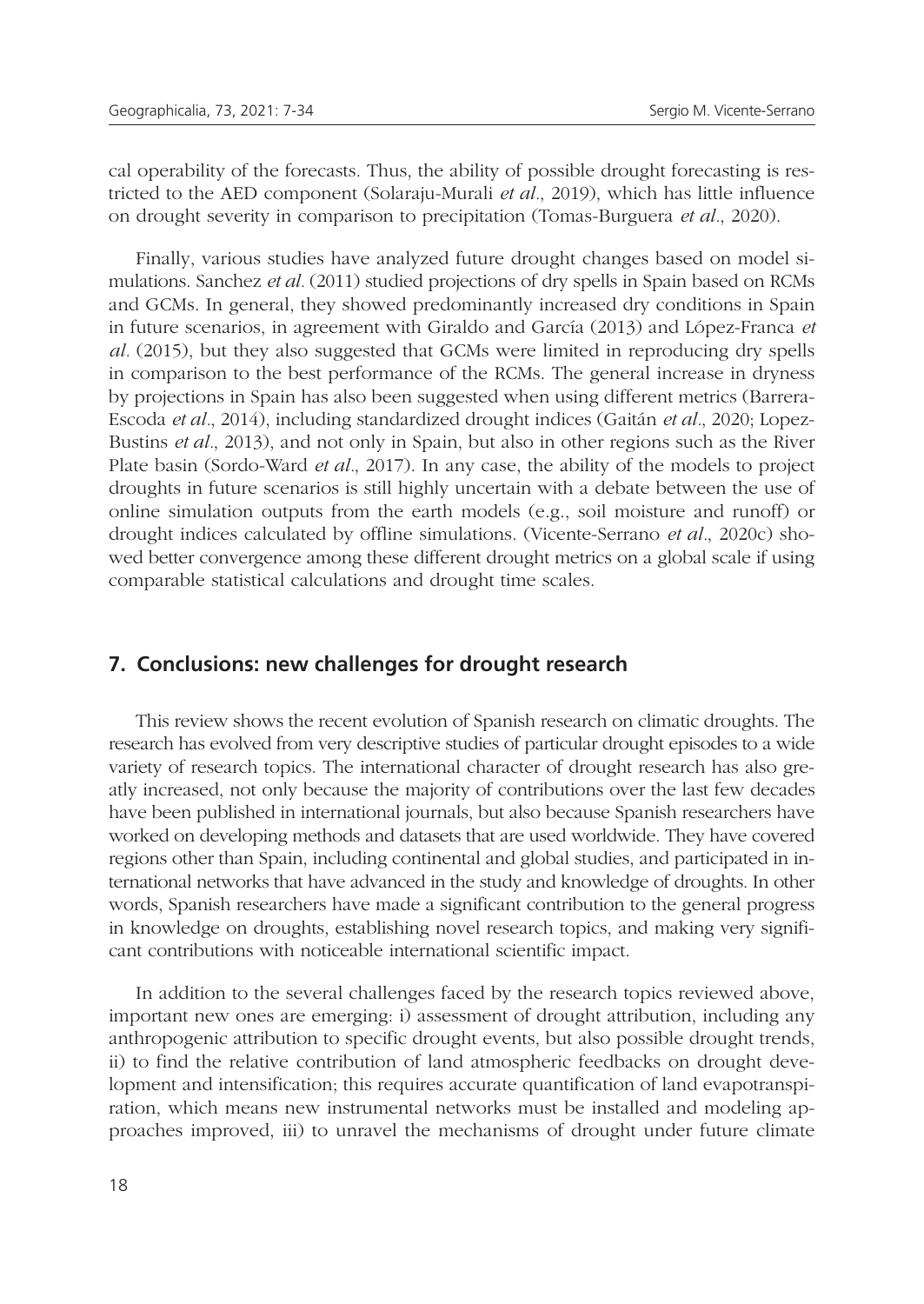cal operability of the forecasts. Thus, the ability of possible drought forecasting is restricted to the AED component (Solaraju-Murali *et al.*, 2019), which has little influence on drought severity in comparison to precipitation (Tomas-Burguera *et al.*, 2020).

Finally, various studies have analyzed future drought changes based on model simulations. Sanchez *et al.* (2011) studied projections of dry spells in Spain based on RCMs and GCMs. In general, they showed predominantly increased dry conditions in Spain in future scenarios, in agreement with Giraldo and García (2013) and López-Franca *et al.* (2015), but they also suggested that GCMs were limited in reproducing dry spells in comparison to the best performance of the RCMs. The general increase in dryness by projections in Spain has also been suggested when using different metrics (Barrera-Escoda *et al.*, 2014), including standardized drought indices (Gaitán *et al.*, 2020; Lopez-Bustins *et al.*, 2013), and not only in Spain, but also in other regions such as the River Plate basin (Sordo-Ward *et al.*, 2017). In any case, the ability of the models to project droughts in future scenarios is still highly uncertain with a debate between the use of online simulation outputs from the earth models (e.g., soil moisture and runoff) or drought indices calculated by offline simulations. (Vicente-Serrano *et al.*, 2020c) showed better convergence among these different drought metrics on a global scale if using comparable statistical calculations and drought time scales.

#### **7. Conclusions: new challenges for drought research**

This review shows the recent evolution of Spanish research on climatic droughts. The research has evolved from very descriptive studies of particular drought episodes to a wide variety of research topics. The international character of drought research has also greatly increased, not only because the majority of contributions over the last few decades have been published in international journals, but also because Spanish researchers have worked on developing methods and datasets that are used worldwide. They have covered regions other than Spain, including continental and global studies, and participated in international networks that have advanced in the study and knowledge of droughts. In other words, Spanish researchers have made a significant contribution to the general progress in knowledge on droughts, establishing novel research topics, and making very significant contributions with noticeable international scientific impact.

In addition to the several challenges faced by the research topics reviewed above, important new ones are emerging: i) assessment of drought attribution, including any anthropogenic attribution to specific drought events, but also possible drought trends, ii) to find the relative contribution of land atmospheric feedbacks on drought development and intensification; this requires accurate quantification of land evapotranspiration, which means new instrumental networks must be installed and modeling approaches improved, iii) to unravel the mechanisms of drought under future climate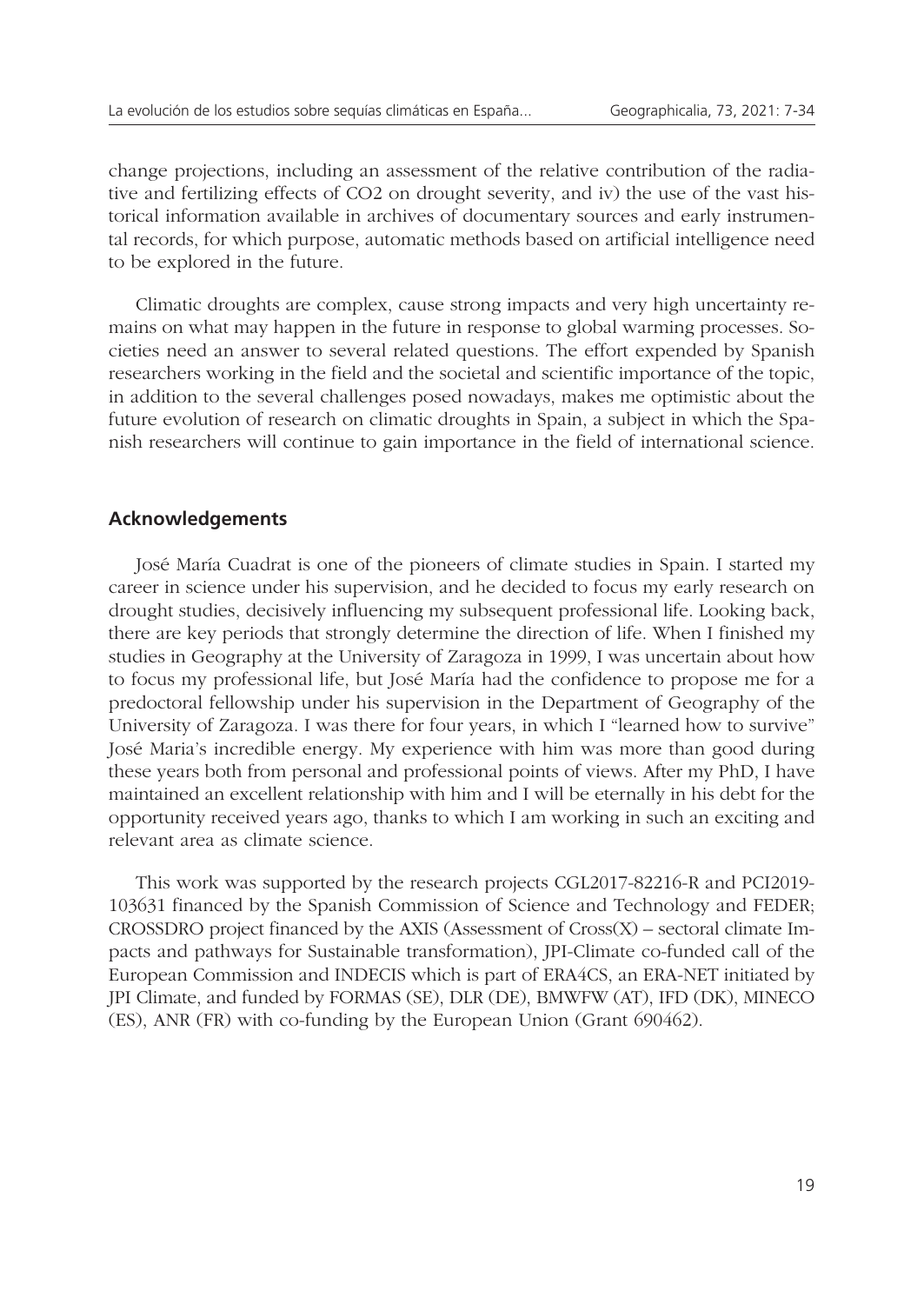change projections, including an assessment of the relative contribution of the radiative and fertilizing effects of CO2 on drought severity, and iv) the use of the vast historical information available in archives of documentary sources and early instrumental records, for which purpose, automatic methods based on artificial intelligence need to be explored in the future.

Climatic droughts are complex, cause strong impacts and very high uncertainty remains on what may happen in the future in response to global warming processes. Societies need an answer to several related questions. The effort expended by Spanish researchers working in the field and the societal and scientific importance of the topic, in addition to the several challenges posed nowadays, makes me optimistic about the future evolution of research on climatic droughts in Spain, a subject in which the Spanish researchers will continue to gain importance in the field of international science.

#### **Acknowledgements**

José María Cuadrat is one of the pioneers of climate studies in Spain. I started my career in science under his supervision, and he decided to focus my early research on drought studies, decisively influencing my subsequent professional life. Looking back, there are key periods that strongly determine the direction of life. When I finished my studies in Geography at the University of Zaragoza in 1999, I was uncertain about how to focus my professional life, but José María had the confidence to propose me for a predoctoral fellowship under his supervision in the Department of Geography of the University of Zaragoza. I was there for four years, in which I "learned how to survive" José Maria's incredible energy. My experience with him was more than good during these years both from personal and professional points of views. After my PhD, I have maintained an excellent relationship with him and I will be eternally in his debt for the opportunity received years ago, thanks to which I am working in such an exciting and relevant area as climate science.

This work was supported by the research projects CGL2017-82216-R and PCI2019- 103631 financed by the Spanish Commission of Science and Technology and FEDER;  $CROSSDRO$  project financed by the AXIS (Assessment of  $Cross(X)$  – sectoral climate Impacts and pathways for Sustainable transformation), JPI-Climate co-funded call of the European Commission and INDECIS which is part of ERA4CS, an ERA-NET initiated by JPI Climate, and funded by FORMAS (SE), DLR (DE), BMWFW (AT), IFD (DK), MINECO (ES), ANR (FR) with co-funding by the European Union (Grant 690462).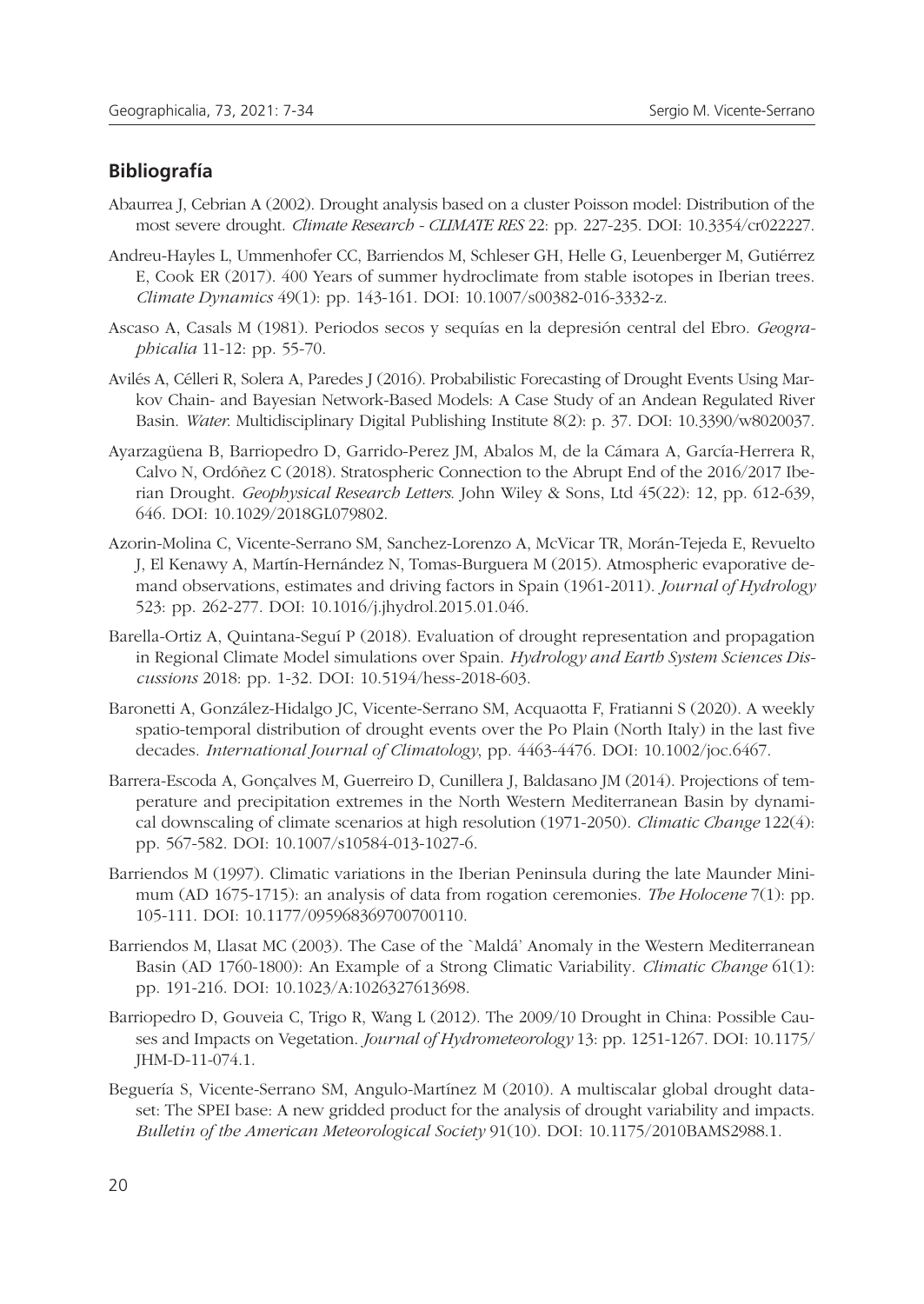#### **Bibliografía**

- Abaurrea J, Cebrian A (2002). Drought analysis based on a cluster Poisson model: Distribution of the most severe drought. *Climate Research - CLIMATE RES* 22: pp. 227-235. DOI: 10.3354/cr022227.
- Andreu-Hayles L, Ummenhofer CC, Barriendos M, Schleser GH, Helle G, Leuenberger M, Gutiérrez E, Cook ER (2017). 400 Years of summer hydroclimate from stable isotopes in Iberian trees. *Climate Dynamics* 49(1): pp. 143-161. DOI: 10.1007/s00382-016-3332-z.
- Ascaso A, Casals M (1981). Periodos secos y sequías en la depresión central del Ebro. *Geographicalia* 11-12: pp. 55-70.
- Avilés A, Célleri R, Solera A, Paredes J (2016). Probabilistic Forecasting of Drought Events Using Markov Chain- and Bayesian Network-Based Models: A Case Study of an Andean Regulated River Basin. *Water*. Multidisciplinary Digital Publishing Institute 8(2): p. 37. DOI: 10.3390/w8020037.
- Ayarzagüena B, Barriopedro D, Garrido-Perez JM, Abalos M, de la Cámara A, García-Herrera R, Calvo N, Ordóñez C (2018). Stratospheric Connection to the Abrupt End of the 2016/2017 Iberian Drought. *Geophysical Research Letters*. John Wiley & Sons, Ltd 45(22): 12, pp. 612-639, 646. DOI: 10.1029/2018GL079802.
- Azorin-Molina C, Vicente-Serrano SM, Sanchez-Lorenzo A, McVicar TR, Morán-Tejeda E, Revuelto J, El Kenawy A, Martín-Hernández N, Tomas-Burguera M (2015). Atmospheric evaporative demand observations, estimates and driving factors in Spain (1961-2011). *Journal of Hydrology* 523: pp. 262-277. DOI: 10.1016/j.jhydrol.2015.01.046.
- Barella-Ortiz A, Quintana-Seguí P (2018). Evaluation of drought representation and propagation in Regional Climate Model simulations over Spain. *Hydrology and Earth System Sciences Discussions* 2018: pp. 1-32. DOI: 10.5194/hess-2018-603.
- Baronetti A, González-Hidalgo JC, Vicente-Serrano SM, Acquaotta F, Fratianni S (2020). A weekly spatio-temporal distribution of drought events over the Po Plain (North Italy) in the last five decades. *International Journal of Climatology*, pp. 4463-4476. DOI: 10.1002/joc.6467.
- Barrera-Escoda A, Gonçalves M, Guerreiro D, Cunillera J, Baldasano JM (2014). Projections of temperature and precipitation extremes in the North Western Mediterranean Basin by dynamical downscaling of climate scenarios at high resolution (1971-2050). *Climatic Change* 122(4): pp. 567-582. DOI: 10.1007/s10584-013-1027-6.
- Barriendos M (1997). Climatic variations in the Iberian Peninsula during the late Maunder Minimum (AD 1675-1715): an analysis of data from rogation ceremonies. *The Holocene* 7(1): pp. 105-111. DOI: 10.1177/095968369700700110.
- Barriendos M, Llasat MC (2003). The Case of the `Maldá' Anomaly in the Western Mediterranean Basin (AD 1760-1800): An Example of a Strong Climatic Variability. *Climatic Change* 61(1): pp. 191-216. DOI: 10.1023/A:1026327613698.
- Barriopedro D, Gouveia C, Trigo R, Wang L (2012). The 2009/10 Drought in China: Possible Causes and Impacts on Vegetation. *Journal of Hydrometeorology* 13: pp. 1251-1267. DOI: 10.1175/ JHM-D-11-074.1.
- Beguería S, Vicente-Serrano SM, Angulo-Martínez M (2010). A multiscalar global drought dataset: The SPEI base: A new gridded product for the analysis of drought variability and impacts. *Bulletin of the American Meteorological Society* 91(10). DOI: 10.1175/2010BAMS2988.1.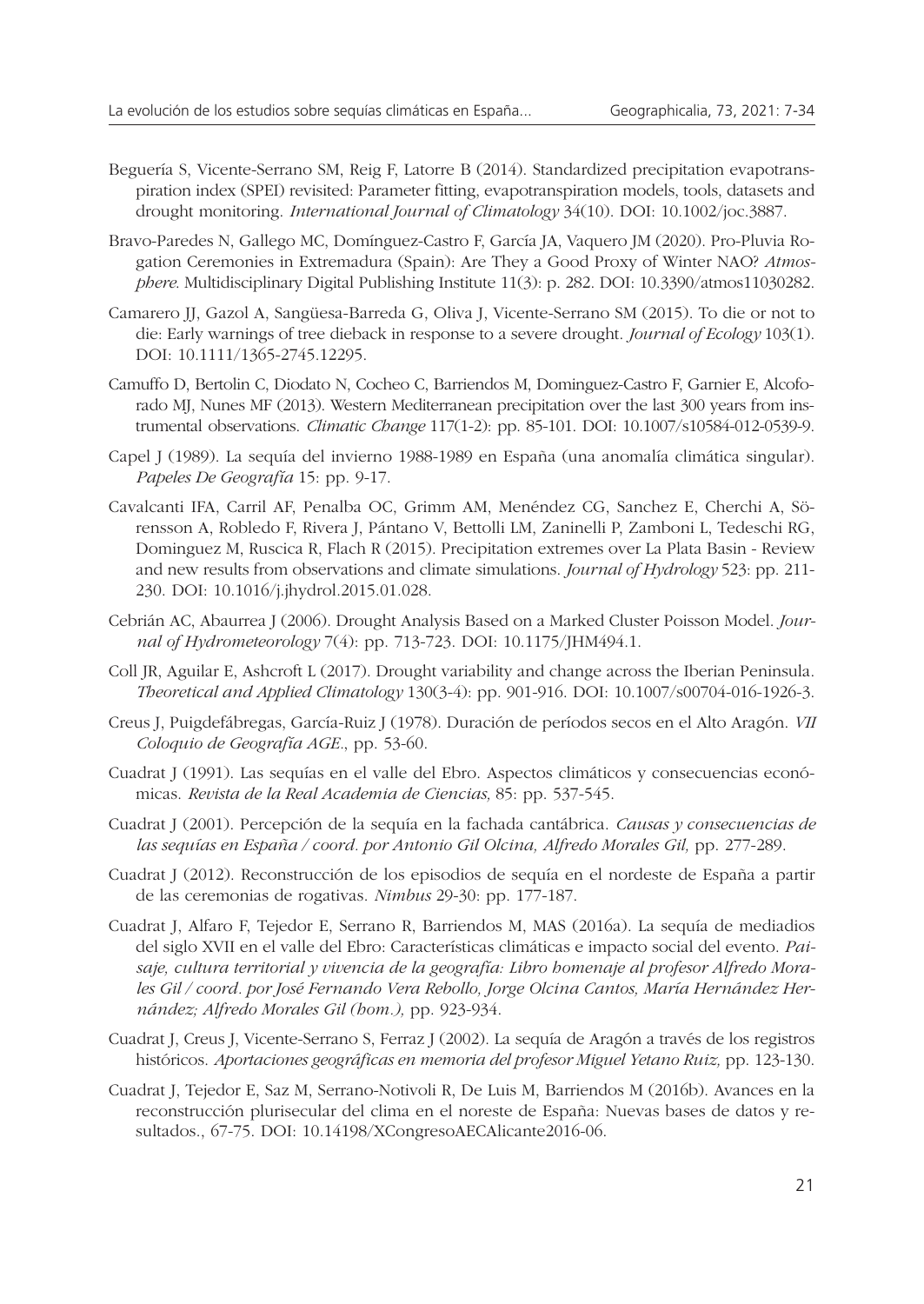- Beguería S, Vicente-Serrano SM, Reig F, Latorre B (2014). Standardized precipitation evapotranspiration index (SPEI) revisited: Parameter fitting, evapotranspiration models, tools, datasets and drought monitoring. *International Journal of Climatology* 34(10). DOI: 10.1002/joc.3887.
- Bravo-Paredes N, Gallego MC, Domínguez-Castro F, García JA, Vaquero JM (2020). Pro-Pluvia Rogation Ceremonies in Extremadura (Spain): Are They a Good Proxy of Winter NAO? *Atmosphere*. Multidisciplinary Digital Publishing Institute 11(3): p. 282. DOI: 10.3390/atmos11030282.
- Camarero JJ, Gazol A, Sangüesa-Barreda G, Oliva J, Vicente-Serrano SM (2015). To die or not to die: Early warnings of tree dieback in response to a severe drought. *Journal of Ecology* 103(1). DOI: 10.1111/1365-2745.12295.
- Camuffo D, Bertolin C, Diodato N, Cocheo C, Barriendos M, Dominguez-Castro F, Garnier E, Alcoforado MJ, Nunes MF (2013). Western Mediterranean precipitation over the last 300 years from instrumental observations. *Climatic Change* 117(1-2): pp. 85-101. DOI: 10.1007/s10584-012-0539-9.
- Capel J (1989). La sequía del invierno 1988-1989 en España (una anomalía climática singular). *Papeles De Geografía* 15: pp. 9-17.
- Cavalcanti IFA, Carril AF, Penalba OC, Grimm AM, Menéndez CG, Sanchez E, Cherchi A, Sörensson A, Robledo F, Rivera J, Pántano V, Bettolli LM, Zaninelli P, Zamboni L, Tedeschi RG, Dominguez M, Ruscica R, Flach R (2015). Precipitation extremes over La Plata Basin - Review and new results from observations and climate simulations. *Journal of Hydrology* 523: pp. 211- 230. DOI: 10.1016/j.jhydrol.2015.01.028.
- Cebrián AC, Abaurrea J (2006). Drought Analysis Based on a Marked Cluster Poisson Model. *Journal of Hydrometeorology* 7(4): pp. 713-723. DOI: 10.1175/JHM494.1.
- Coll JR, Aguilar E, Ashcroft L (2017). Drought variability and change across the Iberian Peninsula. *Theoretical and Applied Climatology* 130(3-4): pp. 901-916. DOI: 10.1007/s00704-016-1926-3.
- Creus J, Puigdefábregas, García-Ruiz J (1978). Duración de períodos secos en el Alto Aragón. *VII Coloquio de Geografía AGE.*, pp. 53-60.
- Cuadrat J (1991). Las sequías en el valle del Ebro. Aspectos climáticos y consecuencias económicas. *Revista de la Real Academia de Ciencias,* 85: pp. 537-545.
- Cuadrat J (2001). Percepción de la sequía en la fachada cantábrica. *Causas y consecuencias de las sequías en España / coord. por Antonio Gil Olcina, Alfredo Morales Gil,* pp. 277-289.
- Cuadrat J (2012). Reconstrucción de los episodios de sequía en el nordeste de España a partir de las ceremonias de rogativas. *Nimbus* 29-30: pp. 177-187.
- Cuadrat J, Alfaro F, Tejedor E, Serrano R, Barriendos M, MAS (2016a). La sequía de mediadios del siglo XVII en el valle del Ebro: Características climáticas e impacto social del evento. *Paisaje, cultura territorial y vivencia de la geografía: Libro homenaje al profesor Alfredo Morales Gil / coord. por José Fernando Vera Rebollo, Jorge Olcina Cantos, María Hernández Hernández; Alfredo Morales Gil (hom.),* pp. 923-934.
- Cuadrat J, Creus J, Vicente-Serrano S, Ferraz J (2002). La sequía de Aragón a través de los registros históricos. *Aportaciones geográficas en memoria del profesor Miguel Yetano Ruiz,* pp. 123-130.
- Cuadrat J, Tejedor E, Saz M, Serrano-Notivoli R, De Luis M, Barriendos M (2016b). Avances en la reconstrucción plurisecular del clima en el noreste de España: Nuevas bases de datos y resultados., 67-75. DOI: 10.14198/XCongresoAECAlicante2016-06.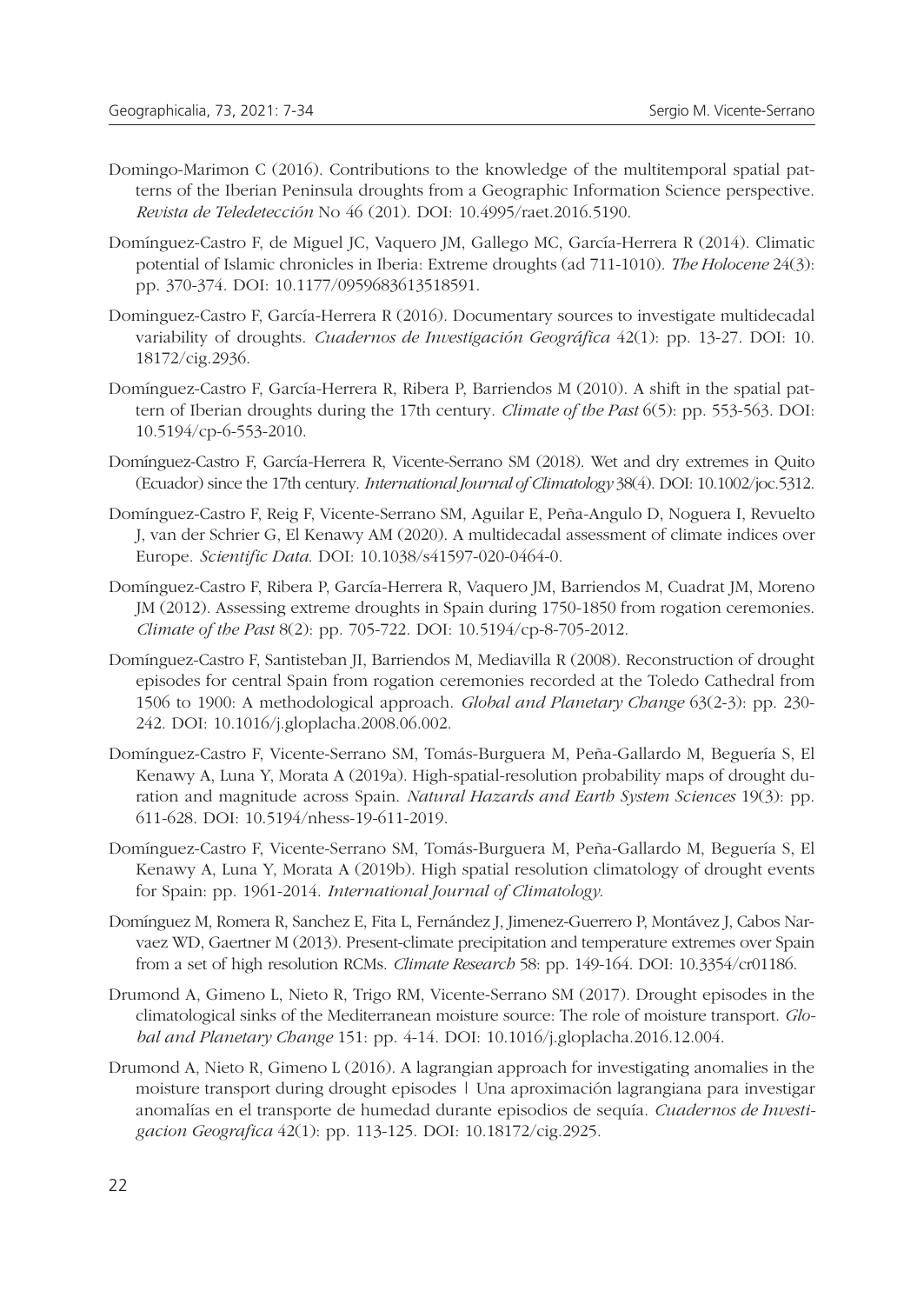- Domingo-Marimon C (2016). Contributions to the knowledge of the multitemporal spatial patterns of the Iberian Peninsula droughts from a Geographic Information Science perspective. *Revista de Teledetección* No 46 (201). DOI: 10.4995/raet.2016.5190.
- Domínguez-Castro F, de Miguel JC, Vaquero JM, Gallego MC, García-Herrera R (2014). Climatic potential of Islamic chronicles in Iberia: Extreme droughts (ad 711-1010). *The Holocene* 24(3): pp. 370-374. DOI: 10.1177/0959683613518591.
- Dominguez-Castro F, García-Herrera R (2016). Documentary sources to investigate multidecadal variability of droughts. *Cuadernos de Investigación Geográfica* 42(1): pp. 13-27. DOI: 10. 18172/cig.2936.
- Domínguez-Castro F, García-Herrera R, Ribera P, Barriendos M (2010). A shift in the spatial pattern of Iberian droughts during the 17th century. *Climate of the Past* 6(5): pp. 553-563. DOI: 10.5194/cp-6-553-2010.
- Domínguez-Castro F, García-Herrera R, Vicente-Serrano SM (2018). Wet and dry extremes in Quito (Ecuador) since the 17th century. *International Journal of Climatology* 38(4). DOI: 10.1002/joc.5312.
- Domínguez-Castro F, Reig F, Vicente-Serrano SM, Aguilar E, Peña-Angulo D, Noguera I, Revuelto J, van der Schrier G, El Kenawy AM (2020). A multidecadal assessment of climate indices over Europe. *Scientific Data*. DOI: 10.1038/s41597-020-0464-0.
- Domínguez-Castro F, Ribera P, García-Herrera R, Vaquero JM, Barriendos M, Cuadrat JM, Moreno JM (2012). Assessing extreme droughts in Spain during 1750-1850 from rogation ceremonies. *Climate of the Past* 8(2): pp. 705-722. DOI: 10.5194/cp-8-705-2012.
- Domínguez-Castro F, Santisteban JI, Barriendos M, Mediavilla R (2008). Reconstruction of drought episodes for central Spain from rogation ceremonies recorded at the Toledo Cathedral from 1506 to 1900: A methodological approach. *Global and Planetary Change* 63(2-3): pp. 230- 242. DOI: 10.1016/j.gloplacha.2008.06.002.
- Domínguez-Castro F, Vicente-Serrano SM, Tomás-Burguera M, Peña-Gallardo M, Beguería S, El Kenawy A, Luna Y, Morata A (2019a). High-spatial-resolution probability maps of drought duration and magnitude across Spain. *Natural Hazards and Earth System Sciences* 19(3): pp. 611-628. DOI: 10.5194/nhess-19-611-2019.
- Domínguez-Castro F, Vicente-Serrano SM, Tomás-Burguera M, Peña-Gallardo M, Beguería S, El Kenawy A, Luna Y, Morata A (2019b). High spatial resolution climatology of drought events for Spain: pp. 1961-2014. *International Journal of Climatology*.
- Domínguez M, Romera R, Sanchez E, Fita L, Fernández J, Jimenez-Guerrero P, Montávez J, Cabos Narvaez WD, Gaertner M (2013). Present-climate precipitation and temperature extremes over Spain from a set of high resolution RCMs. *Climate Research* 58: pp. 149-164. DOI: 10.3354/cr01186.
- Drumond A, Gimeno L, Nieto R, Trigo RM, Vicente-Serrano SM (2017). Drought episodes in the climatological sinks of the Mediterranean moisture source: The role of moisture transport. *Global and Planetary Change* 151: pp. 4-14. DOI: 10.1016/j.gloplacha.2016.12.004.
- Drumond A, Nieto R, Gimeno L (2016). A lagrangian approach for investigating anomalies in the moisture transport during drought episodes | Una aproximación lagrangiana para investigar anomalías en el transporte de humedad durante episodios de sequía. *Cuadernos de Investigacion Geografica* 42(1): pp. 113-125. DOI: 10.18172/cig.2925.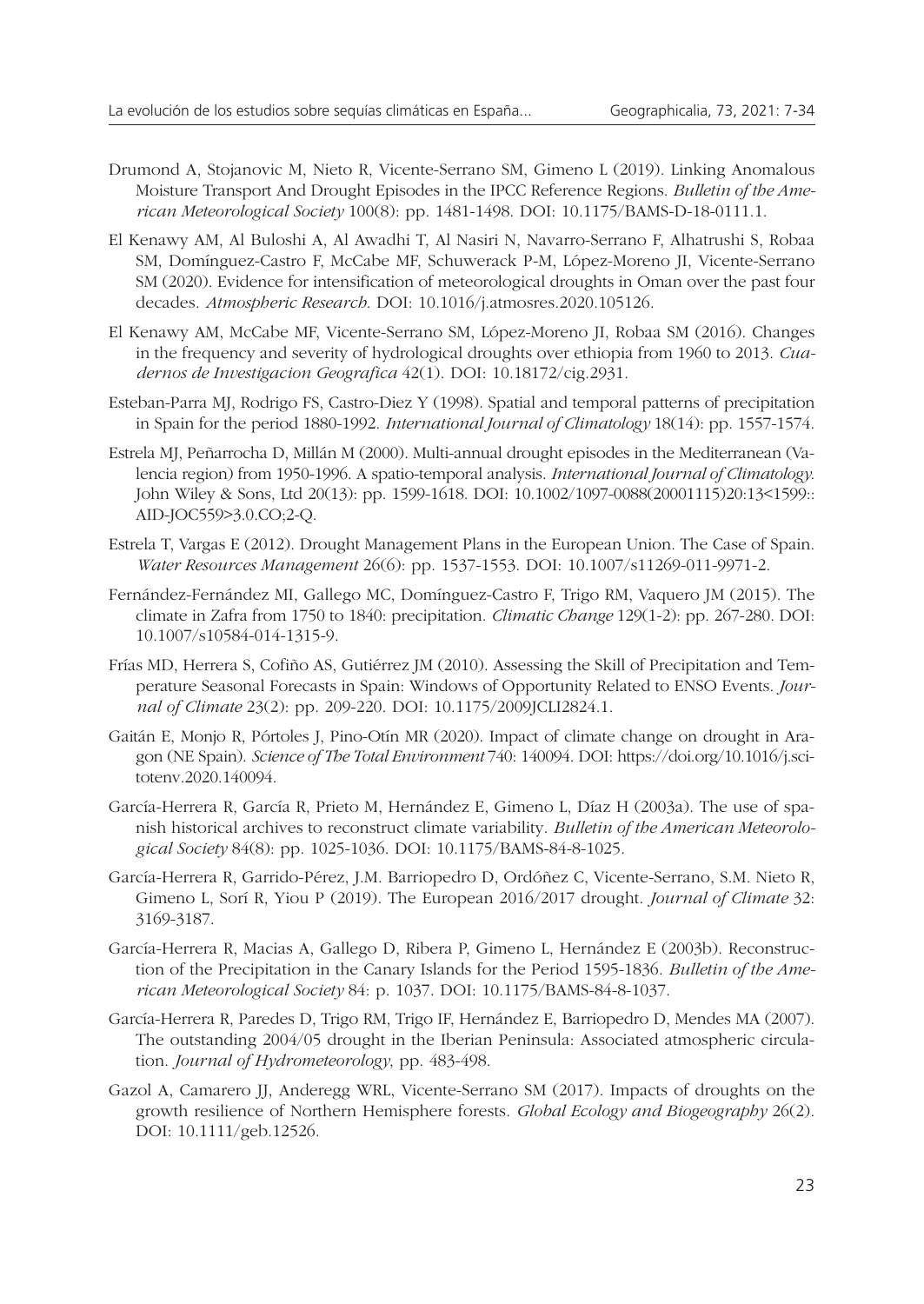- Drumond A, Stojanovic M, Nieto R, Vicente-Serrano SM, Gimeno L (2019). Linking Anomalous Moisture Transport And Drought Episodes in the IPCC Reference Regions. *Bulletin of the American Meteorological Society* 100(8): pp. 1481-1498. DOI: 10.1175/BAMS-D-18-0111.1.
- El Kenawy AM, Al Buloshi A, Al Awadhi T, Al Nasiri N, Navarro-Serrano F, Alhatrushi S, Robaa SM, Domínguez-Castro F, McCabe MF, Schuwerack P-M, López-Moreno JI, Vicente-Serrano SM (2020). Evidence for intensification of meteorological droughts in Oman over the past four decades. *Atmospheric Research*. DOI: 10.1016/j.atmosres.2020.105126.
- El Kenawy AM, McCabe MF, Vicente-Serrano SM, López-Moreno JI, Robaa SM (2016). Changes in the frequency and severity of hydrological droughts over ethiopia from 1960 to 2013. *Cuadernos de Investigacion Geografica* 42(1). DOI: 10.18172/cig.2931.
- Esteban-Parra MJ, Rodrigo FS, Castro-Diez Y (1998). Spatial and temporal patterns of precipitation in Spain for the period 1880-1992. *International Journal of Climatology* 18(14): pp. 1557-1574.
- Estrela MJ, Peñarrocha D, Millán M (2000). Multi-annual drought episodes in the Mediterranean (Valencia region) from 1950-1996. A spatio-temporal analysis. *International Journal of Climatology*. John Wiley & Sons, Ltd 20(13): pp. 1599-1618. DOI: 10.1002/1097-0088(20001115)20:13<1599:: AID-JOC559>3.0.CO;2-Q.
- Estrela T, Vargas E (2012). Drought Management Plans in the European Union. The Case of Spain. *Water Resources Management* 26(6): pp. 1537-1553. DOI: 10.1007/s11269-011-9971-2.
- Fernández-Fernández MI, Gallego MC, Domínguez-Castro F, Trigo RM, Vaquero JM (2015). The climate in Zafra from 1750 to 1840: precipitation. *Climatic Change* 129(1-2): pp. 267-280. DOI: 10.1007/s10584-014-1315-9.
- Frías MD, Herrera S, Cofiño AS, Gutiérrez JM (2010). Assessing the Skill of Precipitation and Temperature Seasonal Forecasts in Spain: Windows of Opportunity Related to ENSO Events. *Journal of Climate* 23(2): pp. 209-220. DOI: 10.1175/2009JCLI2824.1.
- Gaitán E, Monjo R, Pórtoles J, Pino-Otín MR (2020). Impact of climate change on drought in Aragon (NE Spain). *Science of The Total Environment* 740: 140094. DOI: https://doi.org/10.1016/j.scitotenv.2020.140094.
- García-Herrera R, García R, Prieto M, Hernández E, Gimeno L, Díaz H (2003a). The use of spanish historical archives to reconstruct climate variability. *Bulletin of the American Meteorological Society* 84(8): pp. 1025-1036. DOI: 10.1175/BAMS-84-8-1025.
- García-Herrera R, Garrido-Pérez, J.M. Barriopedro D, Ordóñez C, Vicente-Serrano, S.M. Nieto R, Gimeno L, Sorí R, Yiou P (2019). The European 2016/2017 drought. *Journal of Climate* 32: 3169-3187.
- García-Herrera R, Macias A, Gallego D, Ribera P, Gimeno L, Hernández E (2003b). Reconstruction of the Precipitation in the Canary Islands for the Period 1595-1836. *Bulletin of the American Meteorological Society* 84: p. 1037. DOI: 10.1175/BAMS-84-8-1037.
- García-Herrera R, Paredes D, Trigo RM, Trigo IF, Hernández E, Barriopedro D, Mendes MA (2007). The outstanding 2004/05 drought in the Iberian Peninsula: Associated atmospheric circulation. *Journal of Hydrometeorology*, pp. 483-498.
- Gazol A, Camarero JJ, Anderegg WRL, Vicente-Serrano SM (2017). Impacts of droughts on the growth resilience of Northern Hemisphere forests. *Global Ecology and Biogeography* 26(2). DOI: 10.1111/geb.12526.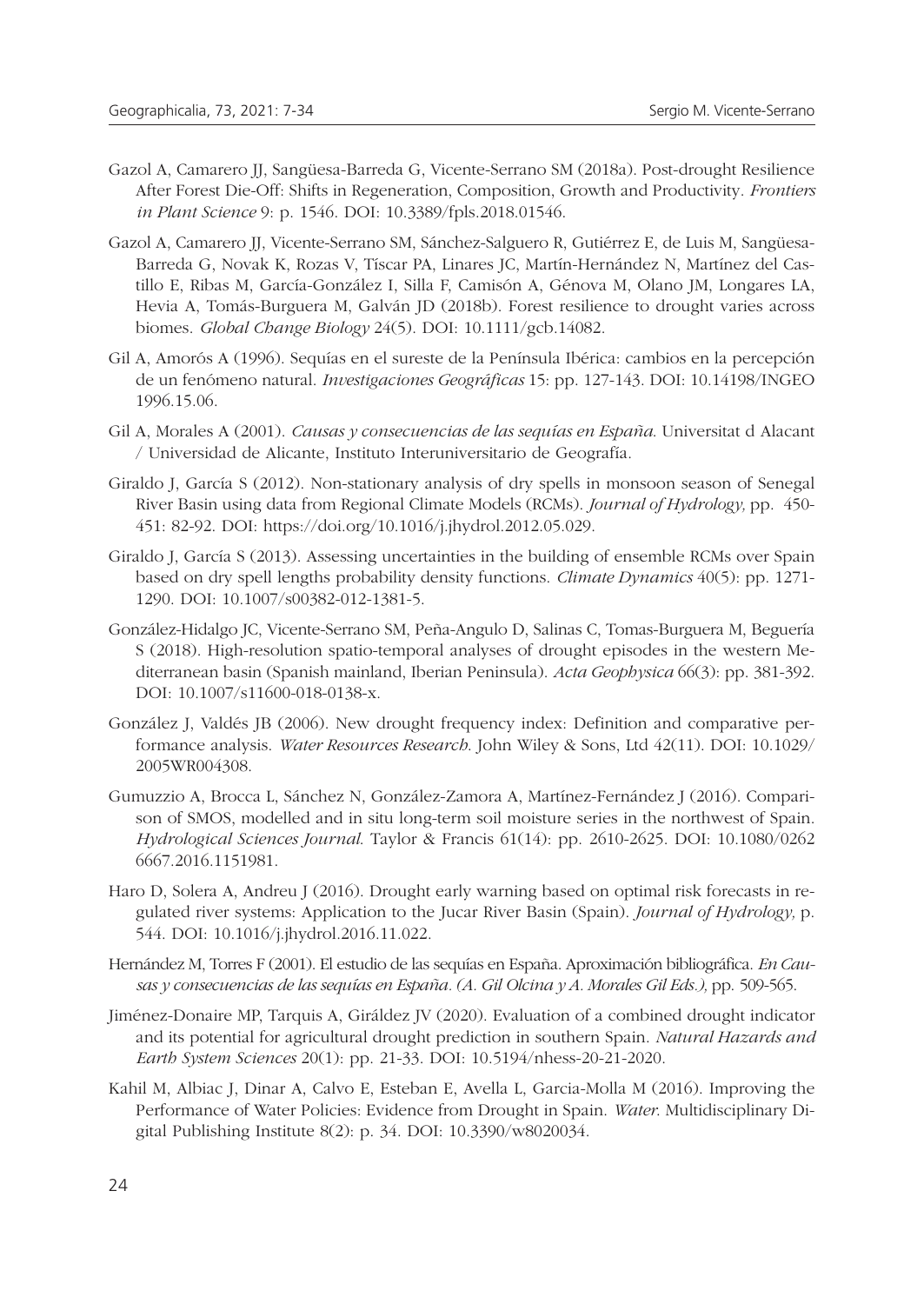- Gazol A, Camarero JJ, Sangüesa-Barreda G, Vicente-Serrano SM (2018a). Post-drought Resilience After Forest Die-Off: Shifts in Regeneration, Composition, Growth and Productivity. *Frontiers in Plant Science* 9: p. 1546. DOI: 10.3389/fpls.2018.01546.
- Gazol A, Camarero JJ, Vicente-Serrano SM, Sánchez-Salguero R, Gutiérrez E, de Luis M, Sangüesa-Barreda G, Novak K, Rozas V, Tíscar PA, Linares JC, Martín-Hernández N, Martínez del Castillo E, Ribas M, García-González I, Silla F, Camisón A, Génova M, Olano JM, Longares LA, Hevia A, Tomás-Burguera M, Galván JD (2018b). Forest resilience to drought varies across biomes. *Global Change Biology* 24(5). DOI: 10.1111/gcb.14082.
- Gil A, Amorós A (1996). Sequías en el sureste de la Península Ibérica: cambios en la percepción de un fenómeno natural. *Investigaciones Geográficas* 15: pp. 127-143. DOI: 10.14198/INGEO 1996.15.06.
- Gil A, Morales A (2001). *Causas y consecuencias de las sequías en España*. Universitat d Alacant / Universidad de Alicante, Instituto Interuniversitario de Geografía.
- Giraldo J, García S (2012). Non-stationary analysis of dry spells in monsoon season of Senegal River Basin using data from Regional Climate Models (RCMs). *Journal of Hydrology,* pp. 450- 451: 82-92. DOI: https://doi.org/10.1016/j.jhydrol.2012.05.029.
- Giraldo J, García S (2013). Assessing uncertainties in the building of ensemble RCMs over Spain based on dry spell lengths probability density functions. *Climate Dynamics* 40(5): pp. 1271- 1290. DOI: 10.1007/s00382-012-1381-5.
- González-Hidalgo JC, Vicente-Serrano SM, Peña-Angulo D, Salinas C, Tomas-Burguera M, Beguería S (2018). High-resolution spatio-temporal analyses of drought episodes in the western Mediterranean basin (Spanish mainland, Iberian Peninsula). *Acta Geophysica* 66(3): pp. 381-392. DOI: 10.1007/s11600-018-0138-x.
- González J, Valdés JB (2006). New drought frequency index: Definition and comparative performance analysis. *Water Resources Research*. John Wiley & Sons, Ltd 42(11). DOI: 10.1029/ 2005WR004308.
- Gumuzzio A, Brocca L, Sánchez N, González-Zamora A, Martínez-Fernández J (2016). Comparison of SMOS, modelled and in situ long-term soil moisture series in the northwest of Spain. *Hydrological Sciences Journal*. Taylor & Francis 61(14): pp. 2610-2625. DOI: 10.1080/0262 6667.2016.1151981.
- Haro D, Solera A, Andreu J (2016). Drought early warning based on optimal risk forecasts in regulated river systems: Application to the Jucar River Basin (Spain). *Journal of Hydrology,* p. 544. DOI: 10.1016/j.jhydrol.2016.11.022.
- Hernández M, Torres F (2001). El estudio de las sequías en España. Aproximación bibliográfica. *En Causas y consecuencias de las sequías en España. (A. Gil Olcina y A. Morales Gil Eds.),* pp. 509-565.
- Jiménez-Donaire MP, Tarquis A, Giráldez JV (2020). Evaluation of a combined drought indicator and its potential for agricultural drought prediction in southern Spain. *Natural Hazards and Earth System Sciences* 20(1): pp. 21-33. DOI: 10.5194/nhess-20-21-2020.
- Kahil M, Albiac J, Dinar A, Calvo E, Esteban E, Avella L, Garcia-Molla M (2016). Improving the Performance of Water Policies: Evidence from Drought in Spain. *Water*. Multidisciplinary Digital Publishing Institute 8(2): p. 34. DOI: 10.3390/w8020034.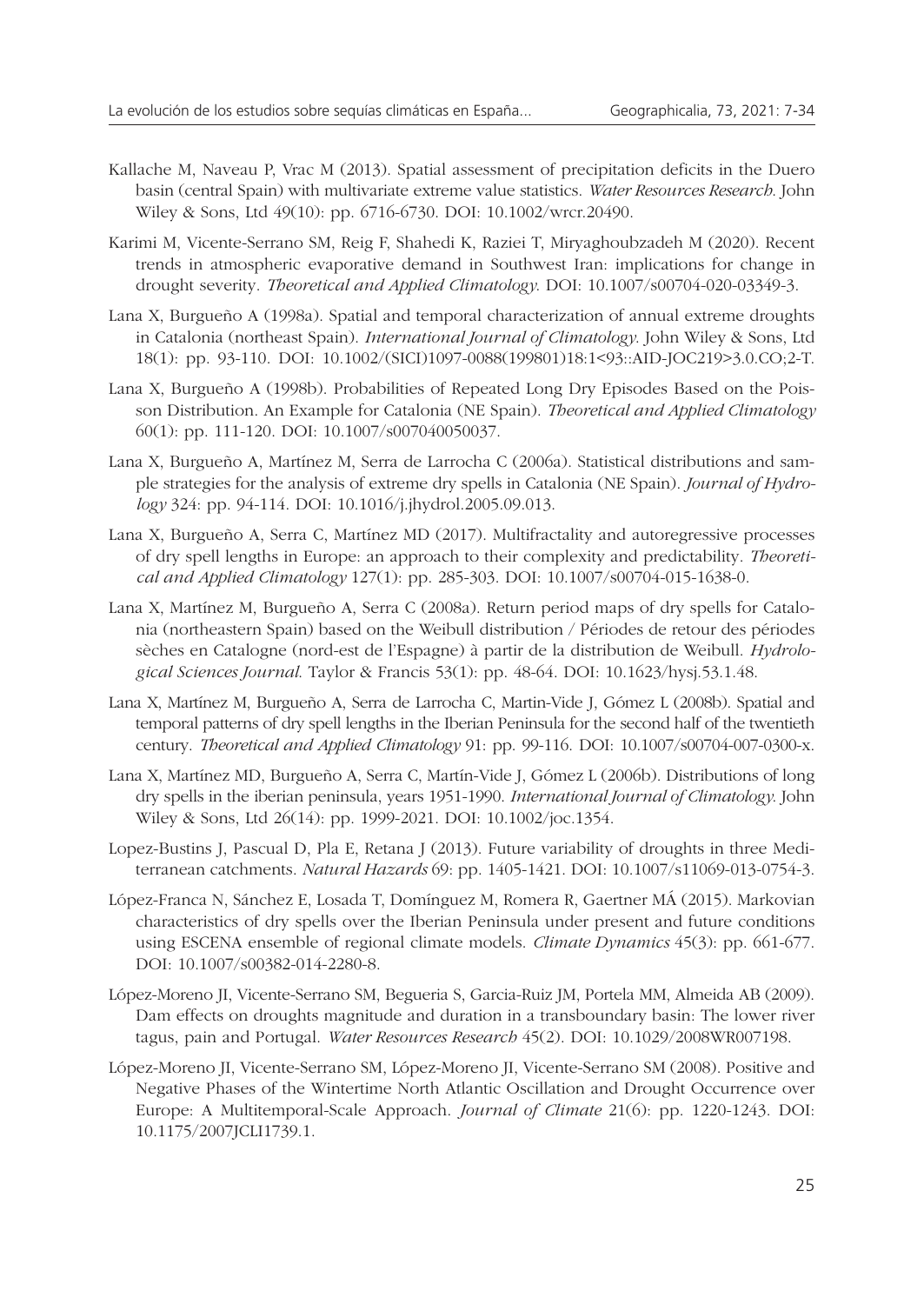- Kallache M, Naveau P, Vrac M (2013). Spatial assessment of precipitation deficits in the Duero basin (central Spain) with multivariate extreme value statistics. *Water Resources Research*. John Wiley & Sons, Ltd 49(10): pp. 6716-6730. DOI: 10.1002/wrcr.20490.
- Karimi M, Vicente-Serrano SM, Reig F, Shahedi K, Raziei T, Miryaghoubzadeh M (2020). Recent trends in atmospheric evaporative demand in Southwest Iran: implications for change in drought severity. *Theoretical and Applied Climatology*. DOI: 10.1007/s00704-020-03349-3.
- Lana X, Burgueño A (1998a). Spatial and temporal characterization of annual extreme droughts in Catalonia (northeast Spain). *International Journal of Climatology*. John Wiley & Sons, Ltd 18(1): pp. 93-110. DOI: 10.1002/(SICI)1097-0088(199801)18:1<93::AID-JOC219>3.0.CO;2-T.
- Lana X, Burgueño A (1998b). Probabilities of Repeated Long Dry Episodes Based on the Poisson Distribution. An Example for Catalonia (NE Spain). *Theoretical and Applied Climatology* 60(1): pp. 111-120. DOI: 10.1007/s007040050037.
- Lana X, Burgueño A, Martínez M, Serra de Larrocha C (2006a). Statistical distributions and sample strategies for the analysis of extreme dry spells in Catalonia (NE Spain). *Journal of Hydrology* 324: pp. 94-114. DOI: 10.1016/j.jhydrol.2005.09.013.
- Lana X, Burgueño A, Serra C, Martínez MD (2017). Multifractality and autoregressive processes of dry spell lengths in Europe: an approach to their complexity and predictability. *Theoretical and Applied Climatology* 127(1): pp. 285-303. DOI: 10.1007/s00704-015-1638-0.
- Lana X, Martínez M, Burgueño A, Serra C (2008a). Return period maps of dry spells for Catalonia (northeastern Spain) based on the Weibull distribution / Périodes de retour des périodes sèches en Catalogne (nord-est de l'Espagne) à partir de la distribution de Weibull. *Hydrological Sciences Journal*. Taylor & Francis 53(1): pp. 48-64. DOI: 10.1623/hysj.53.1.48.
- Lana X, Martínez M, Burgueño A, Serra de Larrocha C, Martin-Vide J, Gómez L (2008b). Spatial and temporal patterns of dry spell lengths in the Iberian Peninsula for the second half of the twentieth century. *Theoretical and Applied Climatology* 91: pp. 99-116. DOI: 10.1007/s00704-007-0300-x.
- Lana X, Martínez MD, Burgueño A, Serra C, Martín-Vide J, Gómez L (2006b). Distributions of long dry spells in the iberian peninsula, years 1951-1990. *International Journal of Climatology*. John Wiley & Sons, Ltd 26(14): pp. 1999-2021. DOI: 10.1002/joc.1354.
- Lopez-Bustins J, Pascual D, Pla E, Retana J (2013). Future variability of droughts in three Mediterranean catchments. *Natural Hazards* 69: pp. 1405-1421. DOI: 10.1007/s11069-013-0754-3.
- López-Franca N, Sánchez E, Losada T, Domínguez M, Romera R, Gaertner MÁ (2015). Markovian characteristics of dry spells over the Iberian Peninsula under present and future conditions using ESCENA ensemble of regional climate models. *Climate Dynamics* 45(3): pp. 661-677. DOI: 10.1007/s00382-014-2280-8.
- López-Moreno JI, Vicente-Serrano SM, Begueria S, Garcia-Ruiz JM, Portela MM, Almeida AB (2009). Dam effects on droughts magnitude and duration in a transboundary basin: The lower river tagus, pain and Portugal. *Water Resources Research* 45(2). DOI: 10.1029/2008WR007198.
- López-Moreno JI, Vicente-Serrano SM, López-Moreno JI, Vicente-Serrano SM (2008). Positive and Negative Phases of the Wintertime North Atlantic Oscillation and Drought Occurrence over Europe: A Multitemporal-Scale Approach. *Journal of Climate* 21(6): pp. 1220-1243. DOI: 10.1175/2007JCLI1739.1.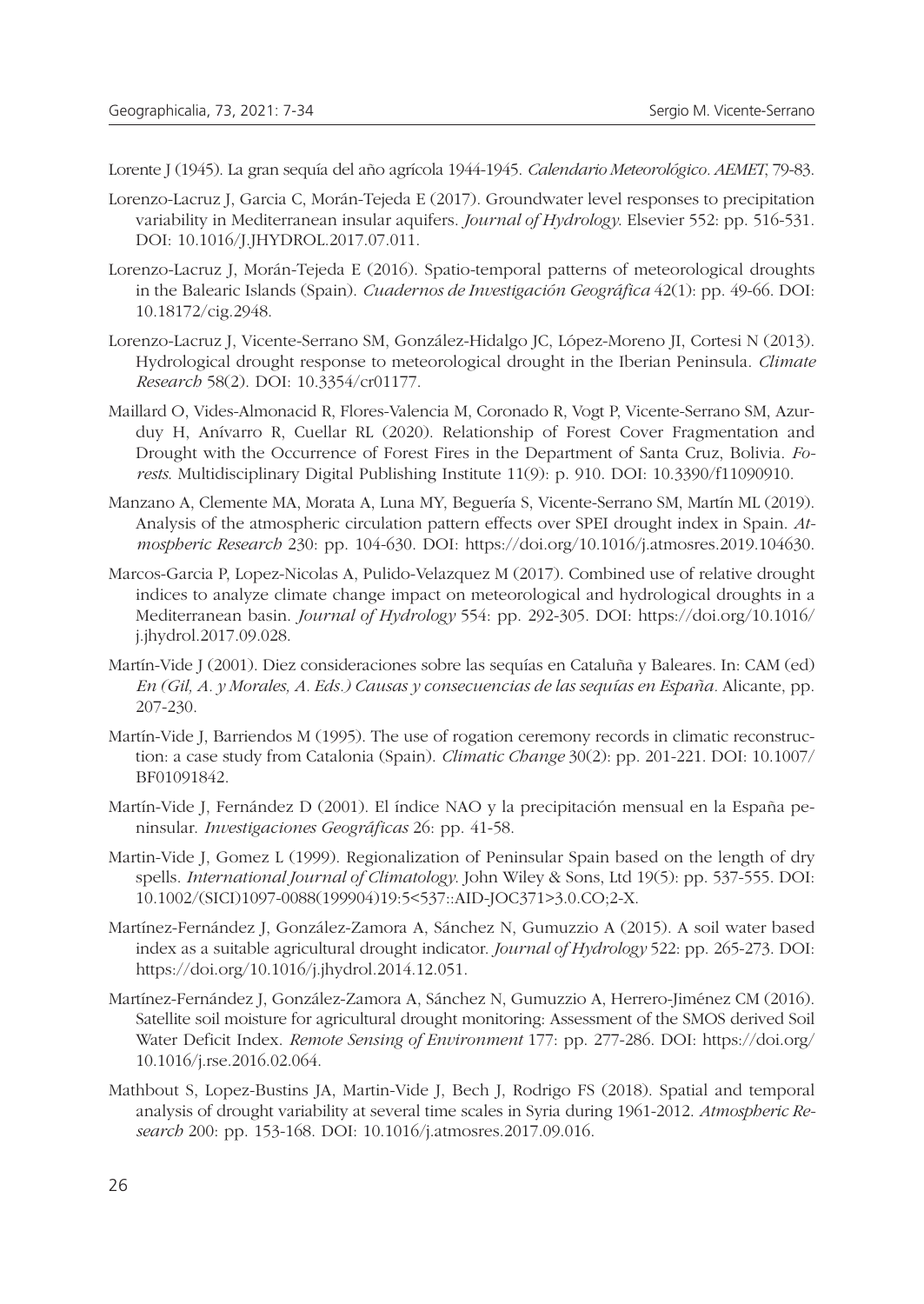Lorente J (1945). La gran sequía del año agrícola 1944-1945. *Calendario Meteorológico. AEMET*, 79-83.

- Lorenzo-Lacruz J, Garcia C, Morán-Tejeda E (2017). Groundwater level responses to precipitation variability in Mediterranean insular aquifers. *Journal of Hydrology*. Elsevier 552: pp. 516-531. DOI: 10.1016/J.JHYDROL.2017.07.011.
- Lorenzo-Lacruz J, Morán-Tejeda E (2016). Spatio-temporal patterns of meteorological droughts in the Balearic Islands (Spain). *Cuadernos de Investigación Geográfica* 42(1): pp. 49-66. DOI: 10.18172/cig.2948.
- Lorenzo-Lacruz J, Vicente-Serrano SM, González-Hidalgo JC, López-Moreno JI, Cortesi N (2013). Hydrological drought response to meteorological drought in the Iberian Peninsula. *Climate Research* 58(2). DOI: 10.3354/cr01177.
- Maillard O, Vides-Almonacid R, Flores-Valencia M, Coronado R, Vogt P, Vicente-Serrano SM, Azurduy H, Anívarro R, Cuellar RL (2020). Relationship of Forest Cover Fragmentation and Drought with the Occurrence of Forest Fires in the Department of Santa Cruz, Bolivia. *Forests*. Multidisciplinary Digital Publishing Institute 11(9): p. 910. DOI: 10.3390/f11090910.
- Manzano A, Clemente MA, Morata A, Luna MY, Beguería S, Vicente-Serrano SM, Martín ML (2019). Analysis of the atmospheric circulation pattern effects over SPEI drought index in Spain. *Atmospheric Research* 230: pp. 104-630. DOI: https://doi.org/10.1016/j.atmosres.2019.104630.
- Marcos-Garcia P, Lopez-Nicolas A, Pulido-Velazquez M (2017). Combined use of relative drought indices to analyze climate change impact on meteorological and hydrological droughts in a Mediterranean basin. *Journal of Hydrology* 554: pp. 292-305. DOI: https://doi.org/10.1016/ j.jhydrol.2017.09.028.
- Martín-Vide J (2001). Diez consideraciones sobre las sequías en Cataluña y Baleares. In: CAM (ed) *En (Gil, A. y Morales, A. Eds.) Causas y consecuencias de las sequías en España.* Alicante, pp. 207-230.
- Martín-Vide J, Barriendos M (1995). The use of rogation ceremony records in climatic reconstruction: a case study from Catalonia (Spain). *Climatic Change* 30(2): pp. 201-221. DOI: 10.1007/ BF01091842.
- Martín-Vide J, Fernández D (2001). El índice NAO y la precipitación mensual en la España peninsular. *Investigaciones Geográficas* 26: pp. 41-58.
- Martin-Vide J, Gomez L (1999). Regionalization of Peninsular Spain based on the length of dry spells. *International Journal of Climatology*. John Wiley & Sons, Ltd 19(5): pp. 537-555. DOI: 10.1002/(SICI)1097-0088(199904)19:5<537::AID-JOC371>3.0.CO;2-X.
- Martínez-Fernández J, González-Zamora A, Sánchez N, Gumuzzio A (2015). A soil water based index as a suitable agricultural drought indicator. *Journal of Hydrology* 522: pp. 265-273. DOI: https://doi.org/10.1016/j.jhydrol.2014.12.051.
- Martínez-Fernández J, González-Zamora A, Sánchez N, Gumuzzio A, Herrero-Jiménez CM (2016). Satellite soil moisture for agricultural drought monitoring: Assessment of the SMOS derived Soil Water Deficit Index. *Remote Sensing of Environment* 177: pp. 277-286. DOI: https://doi.org/ 10.1016/j.rse.2016.02.064.
- Mathbout S, Lopez-Bustins JA, Martin-Vide J, Bech J, Rodrigo FS (2018). Spatial and temporal analysis of drought variability at several time scales in Syria during 1961-2012. *Atmospheric Research* 200: pp. 153-168. DOI: 10.1016/j.atmosres.2017.09.016.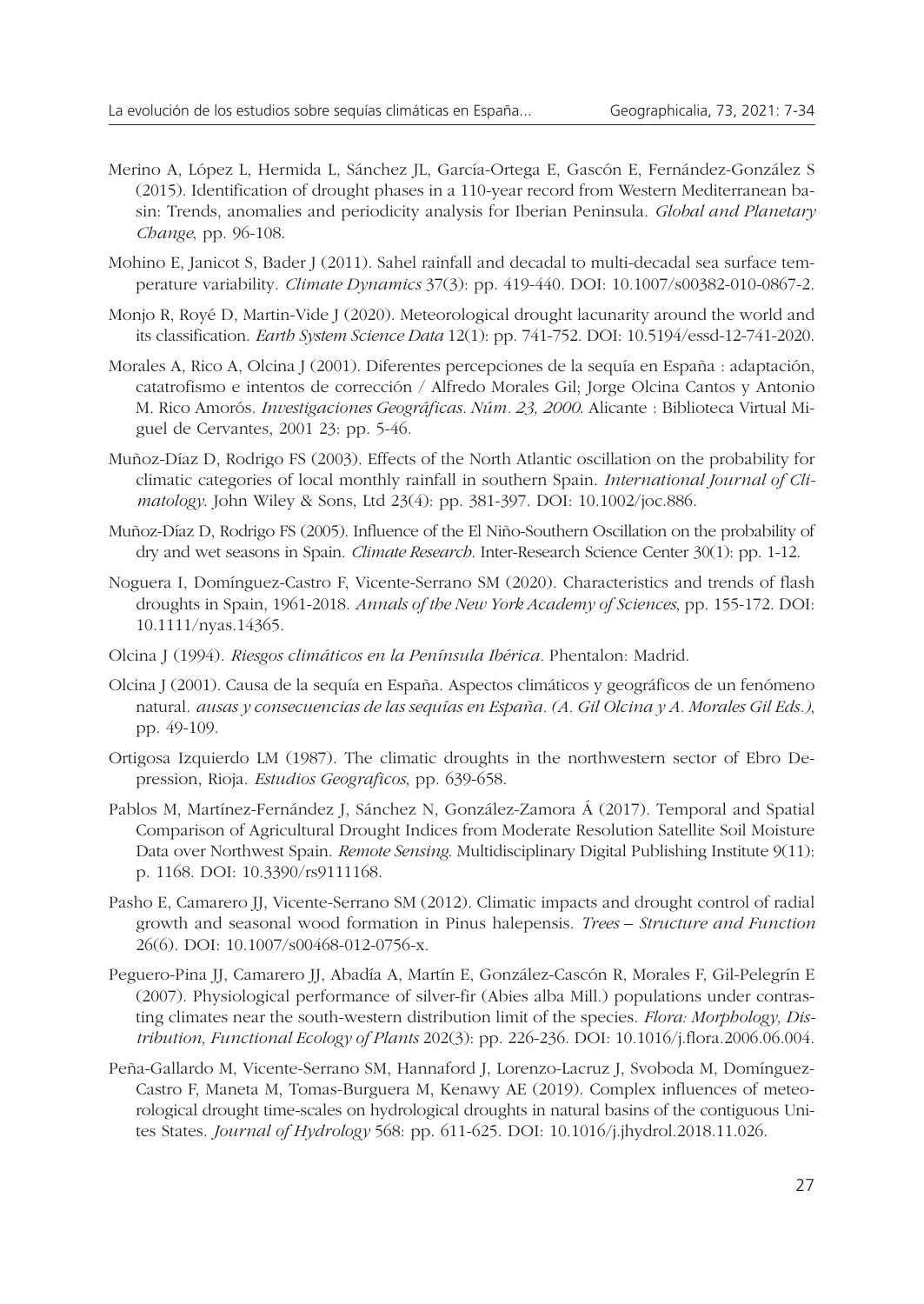- Merino A, López L, Hermida L, Sánchez JL, García-Ortega E, Gascón E, Fernández-González S (2015). Identification of drought phases in a 110-year record from Western Mediterranean basin: Trends, anomalies and periodicity analysis for Iberian Peninsula. *Global and Planetary Change*, pp. 96-108.
- Mohino E, Janicot S, Bader J (2011). Sahel rainfall and decadal to multi-decadal sea surface temperature variability. *Climate Dynamics* 37(3): pp. 419-440. DOI: 10.1007/s00382-010-0867-2.
- Monjo R, Royé D, Martin-Vide J (2020). Meteorological drought lacunarity around the world and its classification. *Earth System Science Data* 12(1): pp. 741-752. DOI: 10.5194/essd-12-741-2020.
- Morales A, Rico A, Olcina J (2001). Diferentes percepciones de la sequía en España : adaptación, catatrofismo e intentos de corrección / Alfredo Morales Gil; Jorge Olcina Cantos y Antonio M. Rico Amorós. *Investigaciones Geográficas. Núm. 23, 2000*. Alicante : Biblioteca Virtual Miguel de Cervantes, 2001 23: pp. 5-46.
- Muñoz-Díaz D, Rodrigo FS (2003). Effects of the North Atlantic oscillation on the probability for climatic categories of local monthly rainfall in southern Spain. *International Journal of Climatology*. John Wiley & Sons, Ltd 23(4): pp. 381-397. DOI: 10.1002/joc.886.
- Muñoz-Díaz D, Rodrigo FS (2005). Influence of the El Niño-Southern Oscillation on the probability of dry and wet seasons in Spain. *Climate Research*. Inter-Research Science Center 30(1): pp. 1-12.
- Noguera I, Domínguez-Castro F, Vicente-Serrano SM (2020). Characteristics and trends of flash droughts in Spain, 1961-2018. *Annals of the New York Academy of Sciences*, pp. 155-172. DOI: 10.1111/nyas.14365.
- Olcina J (1994). *Riesgos climáticos en la Península Ibérica.* Phentalon: Madrid.
- Olcina J (2001). Causa de la sequía en España. Aspectos climáticos y geográficos de un fenómeno natural. *ausas y consecuencias de las sequías en España. (A. Gil Olcina y A. Morales Gil Eds.)*, pp. 49-109.
- Ortigosa Izquierdo LM (1987). The climatic droughts in the northwestern sector of Ebro Depression, Rioja. *Estudios Geograficos*, pp. 639-658.
- Pablos M, Martínez-Fernández J, Sánchez N, González-Zamora Á (2017). Temporal and Spatial Comparison of Agricultural Drought Indices from Moderate Resolution Satellite Soil Moisture Data over Northwest Spain. *Remote Sensing*. Multidisciplinary Digital Publishing Institute 9(11): p. 1168. DOI: 10.3390/rs9111168.
- Pasho E, Camarero JJ, Vicente-Serrano SM (2012). Climatic impacts and drought control of radial growth and seasonal wood formation in Pinus halepensis. *Trees – Structure and Function* 26(6). DOI: 10.1007/s00468-012-0756-x.
- Peguero-Pina JJ, Camarero JJ, Abadía A, Martín E, González-Cascón R, Morales F, Gil-Pelegrín E (2007). Physiological performance of silver-fir (Abies alba Mill.) populations under contrasting climates near the south-western distribution limit of the species. *Flora: Morphology, Distribution, Functional Ecology of Plants* 202(3): pp. 226-236. DOI: 10.1016/j.flora.2006.06.004.
- Peña-Gallardo M, Vicente-Serrano SM, Hannaford J, Lorenzo-Lacruz J, Svoboda M, Domínguez-Castro F, Maneta M, Tomas-Burguera M, Kenawy AE (2019). Complex influences of meteorological drought time-scales on hydrological droughts in natural basins of the contiguous Unites States. *Journal of Hydrology* 568: pp. 611-625. DOI: 10.1016/j.jhydrol.2018.11.026.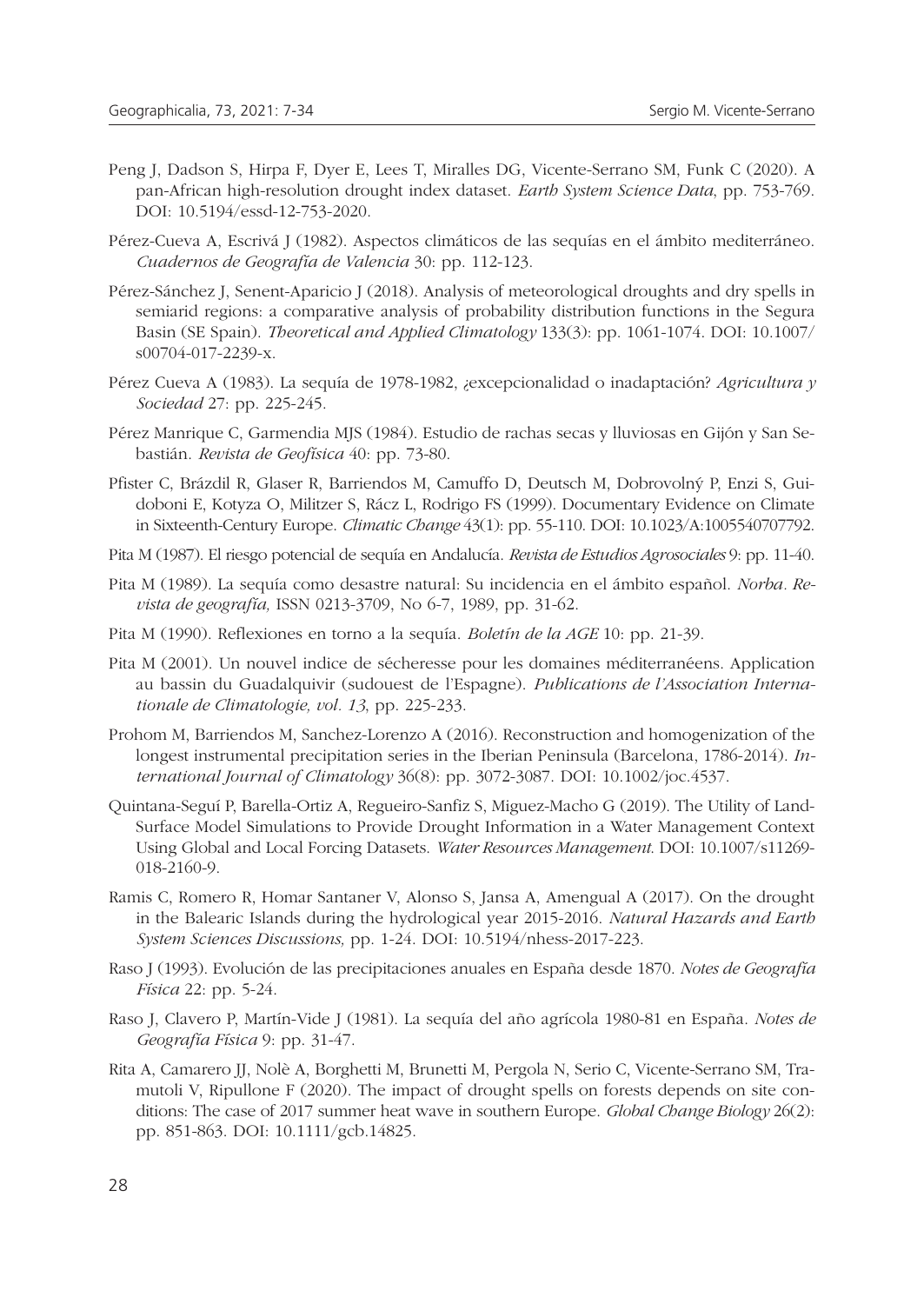- Peng J, Dadson S, Hirpa F, Dyer E, Lees T, Miralles DG, Vicente-Serrano SM, Funk C (2020). A pan-African high-resolution drought index dataset. *Earth System Science Data*, pp. 753-769. DOI: 10.5194/essd-12-753-2020.
- Pérez-Cueva A, Escrivá J (1982). Aspectos climáticos de las sequías en el ámbito mediterráneo. *Cuadernos de Geografía de Valencia* 30: pp. 112-123.
- Pérez-Sánchez J, Senent-Aparicio J (2018). Analysis of meteorological droughts and dry spells in semiarid regions: a comparative analysis of probability distribution functions in the Segura Basin (SE Spain). *Theoretical and Applied Climatology* 133(3): pp. 1061-1074. DOI: 10.1007/ s00704-017-2239-x.
- Pérez Cueva A (1983). La sequía de 1978-1982, ¿excepcionalidad o inadaptación? *Agricultura y Sociedad* 27: pp. 225-245.
- Pérez Manrique C, Garmendia MJS (1984). Estudio de rachas secas y lluviosas en Gijón y San Sebastián. *Revista de Geofísica* 40: pp. 73-80.
- Pfister C, Brázdil R, Glaser R, Barriendos M, Camuffo D, Deutsch M, Dobrovolný P, Enzi S, Guidoboni E, Kotyza O, Militzer S, Rácz L, Rodrigo FS (1999). Documentary Evidence on Climate in Sixteenth-Century Europe. *Climatic Change* 43(1): pp. 55-110. DOI: 10.1023/A:1005540707792.
- Pita M (1987). El riesgo potencial de sequía en Andalucía. *Revista de Estudios Agrosociales* 9: pp. 11-40.
- Pita M (1989). La sequía como desastre natural: Su incidencia en el ámbito español. *Norba. Revista de geografía,* ISSN 0213-3709, No 6-7, 1989, pp. 31-62.
- Pita M (1990). Reflexiones en torno a la sequía. *Boletín de la AGE* 10: pp. 21-39.
- Pita M (2001). Un nouvel indice de sécheresse pour les domaines méditerranéens. Application au bassin du Guadalquivir (sudouest de l'Espagne). *Publications de l'Association Internationale de Climatologie, vol. 13*, pp. 225-233.
- Prohom M, Barriendos M, Sanchez-Lorenzo A (2016). Reconstruction and homogenization of the longest instrumental precipitation series in the Iberian Peninsula (Barcelona, 1786-2014). *International Journal of Climatology* 36(8): pp. 3072-3087. DOI: 10.1002/joc.4537.
- Quintana-Seguí P, Barella-Ortiz A, Regueiro-Sanfiz S, Miguez-Macho G (2019). The Utility of Land-Surface Model Simulations to Provide Drought Information in a Water Management Context Using Global and Local Forcing Datasets. *Water Resources Management*. DOI: 10.1007/s11269- 018-2160-9.
- Ramis C, Romero R, Homar Santaner V, Alonso S, Jansa A, Amengual A (2017). On the drought in the Balearic Islands during the hydrological year 2015-2016. *Natural Hazards and Earth System Sciences Discussions,* pp. 1-24. DOI: 10.5194/nhess-2017-223.
- Raso J (1993). Evolución de las precipitaciones anuales en España desde 1870. *Notes de Geografía Física* 22: pp. 5-24.
- Raso J, Clavero P, Martín-Vide J (1981). La sequía del año agrícola 1980-81 en España. *Notes de Geografía Física* 9: pp. 31-47.
- Rita A, Camarero JJ, Nolè A, Borghetti M, Brunetti M, Pergola N, Serio C, Vicente-Serrano SM, Tramutoli V, Ripullone F (2020). The impact of drought spells on forests depends on site conditions: The case of 2017 summer heat wave in southern Europe. *Global Change Biology* 26(2): pp. 851-863. DOI: 10.1111/gcb.14825.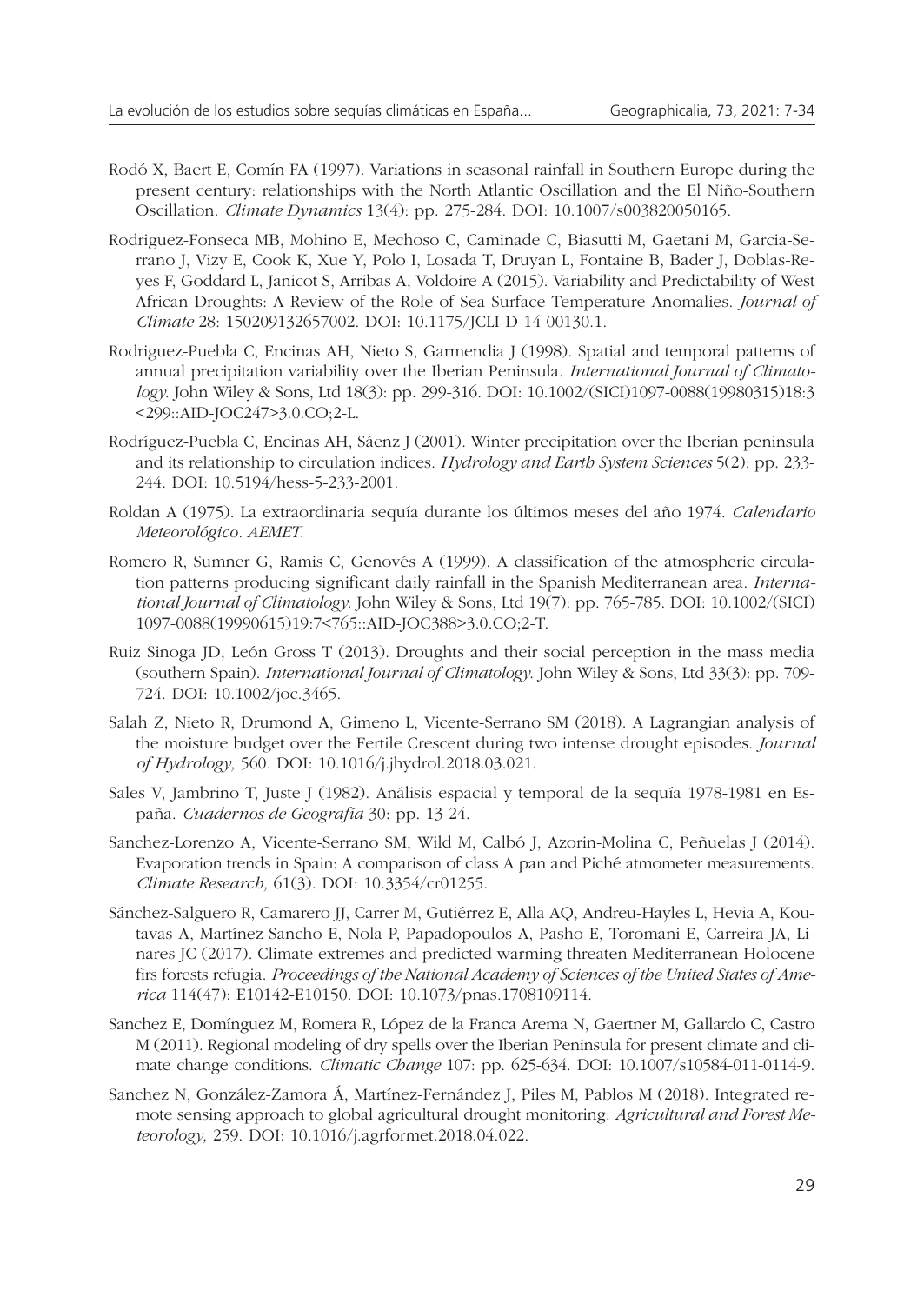- Rodó X, Baert E, Comín FA (1997). Variations in seasonal rainfall in Southern Europe during the present century: relationships with the North Atlantic Oscillation and the El Niño-Southern Oscillation. *Climate Dynamics* 13(4): pp. 275-284. DOI: 10.1007/s003820050165.
- Rodriguez-Fonseca MB, Mohino E, Mechoso C, Caminade C, Biasutti M, Gaetani M, Garcia-Serrano J, Vizy E, Cook K, Xue Y, Polo I, Losada T, Druyan L, Fontaine B, Bader J, Doblas-Reyes F, Goddard L, Janicot S, Arribas A, Voldoire A (2015). Variability and Predictability of West African Droughts: A Review of the Role of Sea Surface Temperature Anomalies. *Journal of Climate* 28: 150209132657002. DOI: 10.1175/JCLI-D-14-00130.1.
- Rodriguez-Puebla C, Encinas AH, Nieto S, Garmendia J (1998). Spatial and temporal patterns of annual precipitation variability over the Iberian Peninsula. *International Journal of Climatology*. John Wiley & Sons, Ltd 18(3): pp. 299-316. DOI: 10.1002/(SICI)1097-0088(19980315)18:3 <299::AID-JOC247>3.0.CO;2-L.
- Rodríguez-Puebla C, Encinas AH, Sáenz J (2001). Winter precipitation over the Iberian peninsula and its relationship to circulation indices. *Hydrology and Earth System Sciences* 5(2): pp. 233- 244. DOI: 10.5194/hess-5-233-2001.
- Roldan A (1975). La extraordinaria sequía durante los últimos meses del año 1974. *Calendario Meteorológico. AEMET*.
- Romero R, Sumner G, Ramis C, Genovés A (1999). A classification of the atmospheric circulation patterns producing significant daily rainfall in the Spanish Mediterranean area. *International Journal of Climatology*. John Wiley & Sons, Ltd 19(7): pp. 765-785. DOI: 10.1002/(SICI) 1097-0088(19990615)19:7<765::AID-JOC388>3.0.CO;2-T.
- Ruiz Sinoga JD, León Gross T (2013). Droughts and their social perception in the mass media (southern Spain). *International Journal of Climatology*. John Wiley & Sons, Ltd 33(3): pp. 709- 724. DOI: 10.1002/joc.3465.
- Salah Z, Nieto R, Drumond A, Gimeno L, Vicente-Serrano SM (2018). A Lagrangian analysis of the moisture budget over the Fertile Crescent during two intense drought episodes. *Journal of Hydrology,* 560. DOI: 10.1016/j.jhydrol.2018.03.021.
- Sales V, Jambrino T, Juste J (1982). Análisis espacial y temporal de la sequía 1978-1981 en España. *Cuadernos de Geografía* 30: pp. 13-24.
- Sanchez-Lorenzo A, Vicente-Serrano SM, Wild M, Calbó J, Azorin-Molina C, Peñuelas J (2014). Evaporation trends in Spain: A comparison of class A pan and Piché atmometer measurements. *Climate Research,* 61(3). DOI: 10.3354/cr01255.
- Sánchez-Salguero R, Camarero JJ, Carrer M, Gutiérrez E, Alla AQ, Andreu-Hayles L, Hevia A, Koutavas A, Martínez-Sancho E, Nola P, Papadopoulos A, Pasho E, Toromani E, Carreira JA, Linares JC (2017). Climate extremes and predicted warming threaten Mediterranean Holocene firs forests refugia. *Proceedings of the National Academy of Sciences of the United States of America* 114(47): E10142-E10150. DOI: 10.1073/pnas.1708109114.
- Sanchez E, Domínguez M, Romera R, López de la Franca Arema N, Gaertner M, Gallardo C, Castro M (2011). Regional modeling of dry spells over the Iberian Peninsula for present climate and climate change conditions. *Climatic Change* 107: pp. 625-634. DOI: 10.1007/s10584-011-0114-9.
- Sanchez N, González-Zamora Á, Martínez-Fernández J, Piles M, Pablos M (2018). Integrated remote sensing approach to global agricultural drought monitoring. *Agricultural and Forest Meteorology,* 259. DOI: 10.1016/j.agrformet.2018.04.022.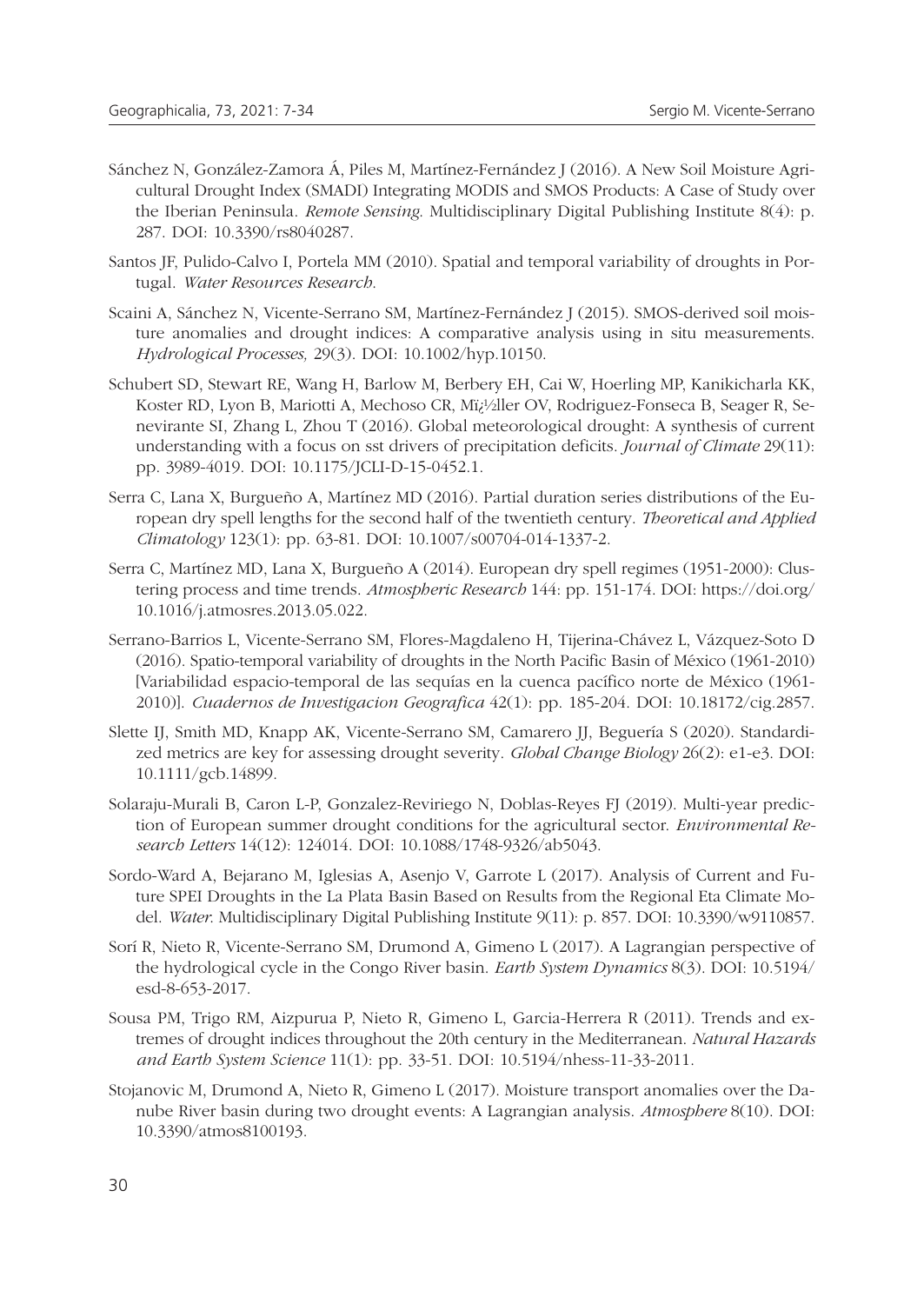- Sánchez N, González-Zamora Á, Piles M, Martínez-Fernández J (2016). A New Soil Moisture Agricultural Drought Index (SMADI) Integrating MODIS and SMOS Products: A Case of Study over the Iberian Peninsula. *Remote Sensing*. Multidisciplinary Digital Publishing Institute 8(4): p. 287. DOI: 10.3390/rs8040287.
- Santos JF, Pulido-Calvo I, Portela MM (2010). Spatial and temporal variability of droughts in Portugal. *Water Resources Research*.
- Scaini A, Sánchez N, Vicente-Serrano SM, Martínez-Fernández J (2015). SMOS-derived soil moisture anomalies and drought indices: A comparative analysis using in situ measurements. *Hydrological Processes,* 29(3). DOI: 10.1002/hyp.10150.
- Schubert SD, Stewart RE, Wang H, Barlow M, Berbery EH, Cai W, Hoerling MP, Kanikicharla KK, Koster RD, Lyon B, Mariotti A, Mechoso CR, Mï¿1/2ller OV, Rodriguez-Fonseca B, Seager R, Senevirante SI, Zhang L, Zhou T (2016). Global meteorological drought: A synthesis of current understanding with a focus on sst drivers of precipitation deficits. *Journal of Climate* 29(11): pp. 3989-4019. DOI: 10.1175/JCLI-D-15-0452.1.
- Serra C, Lana X, Burgueño A, Martínez MD (2016). Partial duration series distributions of the European dry spell lengths for the second half of the twentieth century. *Theoretical and Applied Climatology* 123(1): pp. 63-81. DOI: 10.1007/s00704-014-1337-2.
- Serra C, Martínez MD, Lana X, Burgueño A (2014). European dry spell regimes (1951-2000): Clustering process and time trends. *Atmospheric Research* 144: pp. 151-174. DOI: https://doi.org/ 10.1016/j.atmosres.2013.05.022.
- Serrano-Barrios L, Vicente-Serrano SM, Flores-Magdaleno H, Tijerina-Chávez L, Vázquez-Soto D (2016). Spatio-temporal variability of droughts in the North Pacific Basin of México (1961-2010) [Variabilidad espacio-temporal de las sequías en la cuenca pacífico norte de México (1961- 2010)]. *Cuadernos de Investigacion Geografica* 42(1): pp. 185-204. DOI: 10.18172/cig.2857.
- Slette IJ, Smith MD, Knapp AK, Vicente-Serrano SM, Camarero JJ, Beguería S (2020). Standardized metrics are key for assessing drought severity. *Global Change Biology* 26(2): e1-e3. DOI: 10.1111/gcb.14899.
- Solaraju-Murali B, Caron L-P, Gonzalez-Reviriego N, Doblas-Reyes FJ (2019). Multi-year prediction of European summer drought conditions for the agricultural sector. *Environmental Research Letters* 14(12): 124014. DOI: 10.1088/1748-9326/ab5043.
- Sordo-Ward A, Bejarano M, Iglesias A, Asenjo V, Garrote L (2017). Analysis of Current and Future SPEI Droughts in the La Plata Basin Based on Results from the Regional Eta Climate Model. *Water*. Multidisciplinary Digital Publishing Institute 9(11): p. 857. DOI: 10.3390/w9110857.
- Sorí R, Nieto R, Vicente-Serrano SM, Drumond A, Gimeno L (2017). A Lagrangian perspective of the hydrological cycle in the Congo River basin. *Earth System Dynamics* 8(3). DOI: 10.5194/ esd-8-653-2017.
- Sousa PM, Trigo RM, Aizpurua P, Nieto R, Gimeno L, Garcia-Herrera R (2011). Trends and extremes of drought indices throughout the 20th century in the Mediterranean. *Natural Hazards and Earth System Science* 11(1): pp. 33-51. DOI: 10.5194/nhess-11-33-2011.
- Stojanovic M, Drumond A, Nieto R, Gimeno L (2017). Moisture transport anomalies over the Danube River basin during two drought events: A Lagrangian analysis. *Atmosphere* 8(10). DOI: 10.3390/atmos8100193.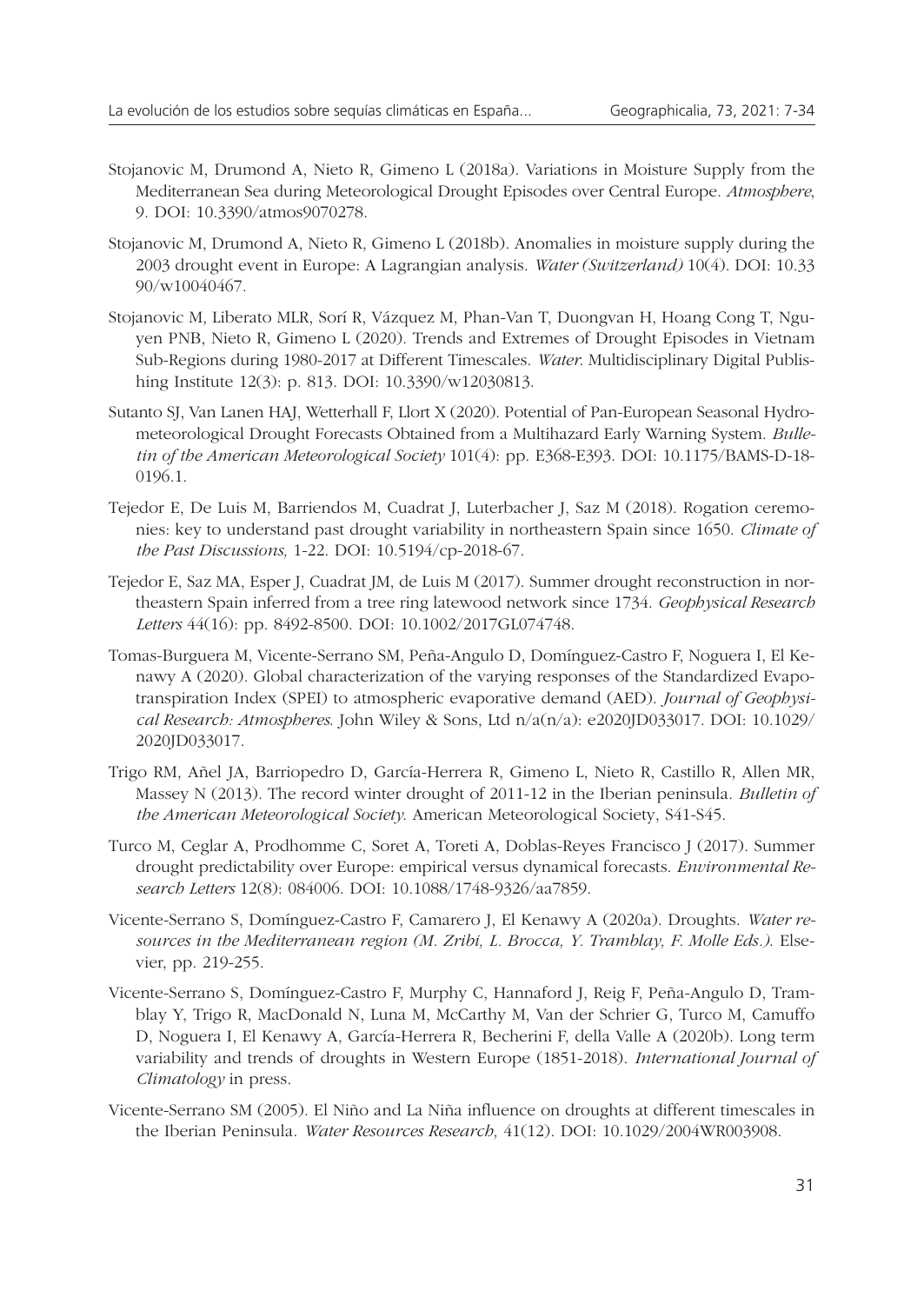- Stojanovic M, Drumond A, Nieto R, Gimeno L (2018a). Variations in Moisture Supply from the Mediterranean Sea during Meteorological Drought Episodes over Central Europe. *Atmosphere*, 9. DOI: 10.3390/atmos9070278.
- Stojanovic M, Drumond A, Nieto R, Gimeno L (2018b). Anomalies in moisture supply during the 2003 drought event in Europe: A Lagrangian analysis. *Water (Switzerland)* 10(4). DOI: 10.33 90/w10040467.
- Stojanovic M, Liberato MLR, Sorí R, Vázquez M, Phan-Van T, Duongvan H, Hoang Cong T, Nguyen PNB, Nieto R, Gimeno L (2020). Trends and Extremes of Drought Episodes in Vietnam Sub-Regions during 1980-2017 at Different Timescales. *Water*. Multidisciplinary Digital Publis hing Institute 12(3): p. 813. DOI: 10.3390/w12030813.
- Sutanto SJ, Van Lanen HAJ, Wetterhall F, Llort X (2020). Potential of Pan-European Seasonal Hydrometeorological Drought Forecasts Obtained from a Multihazard Early Warning System. *Bulletin of the American Meteorological Society* 101(4): pp. E368-E393. DOI: 10.1175/BAMS-D-18- 0196.1.
- Tejedor E, De Luis M, Barriendos M, Cuadrat J, Luterbacher J, Saz M (2018). Rogation ceremonies: key to understand past drought variability in northeastern Spain since 1650. *Climate of the Past Discussions,* 1-22. DOI: 10.5194/cp-2018-67.
- Tejedor E, Saz MA, Esper J, Cuadrat JM, de Luis M (2017). Summer drought reconstruction in northeastern Spain inferred from a tree ring latewood network since 1734. *Geophysical Research Letters* 44(16): pp. 8492-8500. DOI: 10.1002/2017GL074748.
- Tomas-Burguera M, Vicente-Serrano SM, Peña-Angulo D, Domínguez-Castro F, Noguera I, El Kenawy A (2020). Global characterization of the varying responses of the Standardized Evapotranspiration Index (SPEI) to atmospheric evaporative demand (AED). *Journal of Geophysical Research: Atmospheres*. John Wiley & Sons, Ltd n/a(n/a): e2020JD033017. DOI: 10.1029/ 2020JD033017.
- Trigo RM, Añel JA, Barriopedro D, García-Herrera R, Gimeno L, Nieto R, Castillo R, Allen MR, Massey N (2013). The record winter drought of 2011-12 in the Iberian peninsula. *Bulletin of the American Meteorological Society*. American Meteorological Society, S41-S45.
- Turco M, Ceglar A, Prodhomme C, Soret A, Toreti A, Doblas-Reyes Francisco J (2017). Summer drought predictability over Europe: empirical versus dynamical forecasts. *Environmental Research Letters* 12(8): 084006. DOI: 10.1088/1748-9326/aa7859.
- Vicente-Serrano S, Domínguez-Castro F, Camarero J, El Kenawy A (2020a). Droughts. *Water resources in the Mediterranean region (M. Zribi, L. Brocca, Y. Tramblay, F. Molle Eds.)*. Elsevier, pp. 219-255.
- Vicente-Serrano S, Domínguez-Castro F, Murphy C, Hannaford J, Reig F, Peña-Angulo D, Tramblay Y, Trigo R, MacDonald N, Luna M, McCarthy M, Van der Schrier G, Turco M, Camuffo D, Noguera I, El Kenawy A, García-Herrera R, Becherini F, della Valle A (2020b). Long term variability and trends of droughts in Western Europe (1851-2018). *International Journal of Climatology* in press.
- Vicente-Serrano SM (2005). El Niño and La Niña influence on droughts at different timescales in the Iberian Peninsula. *Water Resources Research,* 41(12). DOI: 10.1029/2004WR003908.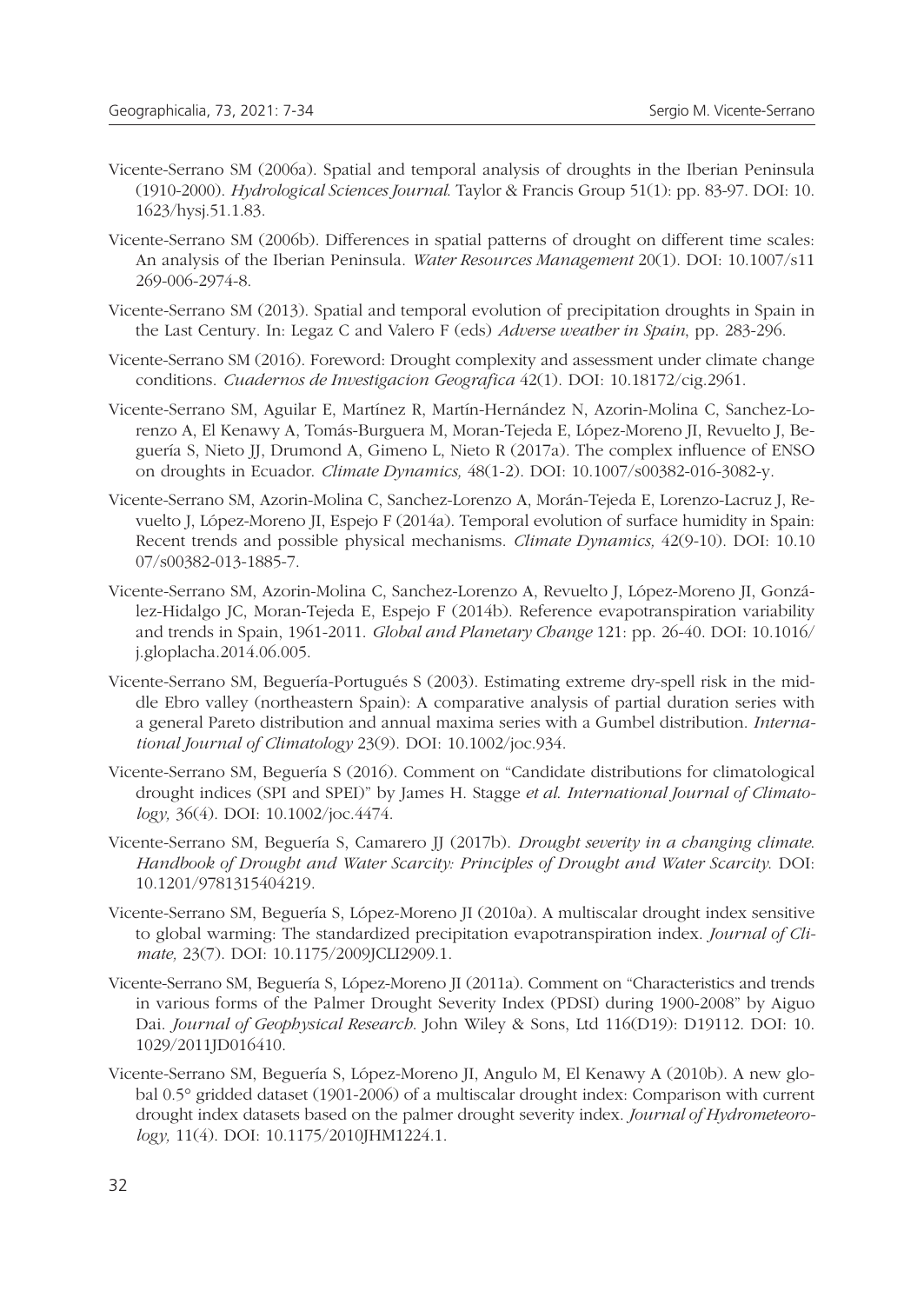- Vicente-Serrano SM (2006a). Spatial and temporal analysis of droughts in the Iberian Peninsula (1910-2000). *Hydrological Sciences Journal*. Taylor & Francis Group 51(1): pp. 83-97. DOI: 10. 1623/hysj.51.1.83.
- Vicente-Serrano SM (2006b). Differences in spatial patterns of drought on different time scales: An analysis of the Iberian Peninsula. *Water Resources Management* 20(1). DOI: 10.1007/s11 269-006-2974-8.
- Vicente-Serrano SM (2013). Spatial and temporal evolution of precipitation droughts in Spain in the Last Century. In: Legaz C and Valero F (eds) *Adverse weather in Spain*, pp. 283-296.
- Vicente-Serrano SM (2016). Foreword: Drought complexity and assessment under climate change conditions. *Cuadernos de Investigacion Geografica* 42(1). DOI: 10.18172/cig.2961.
- Vicente-Serrano SM, Aguilar E, Martínez R, Martín-Hernández N, Azorin-Molina C, Sanchez-Lorenzo A, El Kenawy A, Tomás-Burguera M, Moran-Tejeda E, López-Moreno JI, Revuelto J, Beguería S, Nieto JJ, Drumond A, Gimeno L, Nieto R (2017a). The complex influence of ENSO on droughts in Ecuador. *Climate Dynamics,* 48(1-2). DOI: 10.1007/s00382-016-3082-y.
- Vicente-Serrano SM, Azorin-Molina C, Sanchez-Lorenzo A, Morán-Tejeda E, Lorenzo-Lacruz J, Revuelto J, López-Moreno JI, Espejo F (2014a). Temporal evolution of surface humidity in Spain: Recent trends and possible physical mechanisms. *Climate Dynamics,* 42(9-10). DOI: 10.10 07/s00382-013-1885-7.
- Vicente-Serrano SM, Azorin-Molina C, Sanchez-Lorenzo A, Revuelto J, López-Moreno JI, González-Hidalgo JC, Moran-Tejeda E, Espejo F (2014b). Reference evapotranspiration variability and trends in Spain, 1961-2011. *Global and Planetary Change* 121: pp. 26-40. DOI: 10.1016/ j.gloplacha.2014.06.005.
- Vicente-Serrano SM, Beguería-Portugués S (2003). Estimating extreme dry-spell risk in the middle Ebro valley (northeastern Spain): A comparative analysis of partial duration series with a general Pareto distribution and annual maxima series with a Gumbel distribution. *Interna tional Journal of Climatology* 23(9). DOI: 10.1002/joc.934.
- Vicente-Serrano SM, Beguería S (2016). Comment on "Candidate distributions for climatological drought indices (SPI and SPEI)" by James H. Stagge *et al*. *International Journal of Climatology,* 36(4). DOI: 10.1002/joc.4474.
- Vicente-Serrano SM, Beguería S, Camarero JJ (2017b). *Drought severity in a changing climate*. *Handbook of Drought and Water Scarcity: Principles of Drought and Water Scarcity*. DOI: 10.1201/9781315404219.
- Vicente-Serrano SM, Beguería S, López-Moreno JI (2010a). A multiscalar drought index sensitive to global warming: The standardized precipitation evapotranspiration index. *Journal of Climate,* 23(7). DOI: 10.1175/2009JCLI2909.1.
- Vicente-Serrano SM, Beguería S, López-Moreno JI (2011a). Comment on "Characteristics and trends in various forms of the Palmer Drought Severity Index (PDSI) during 1900-2008" by Aiguo Dai. *Journal of Geophysical Research*. John Wiley & Sons, Ltd 116(D19): D19112. DOI: 10. 1029/2011JD016410.
- Vicente-Serrano SM, Beguería S, López-Moreno JI, Angulo M, El Kenawy A (2010b). A new global 0.5° gridded dataset (1901-2006) of a multiscalar drought index: Comparison with current drought index datasets based on the palmer drought severity index. *Journal of Hydrometeo rology,* 11(4). DOI: 10.1175/2010JHM1224.1.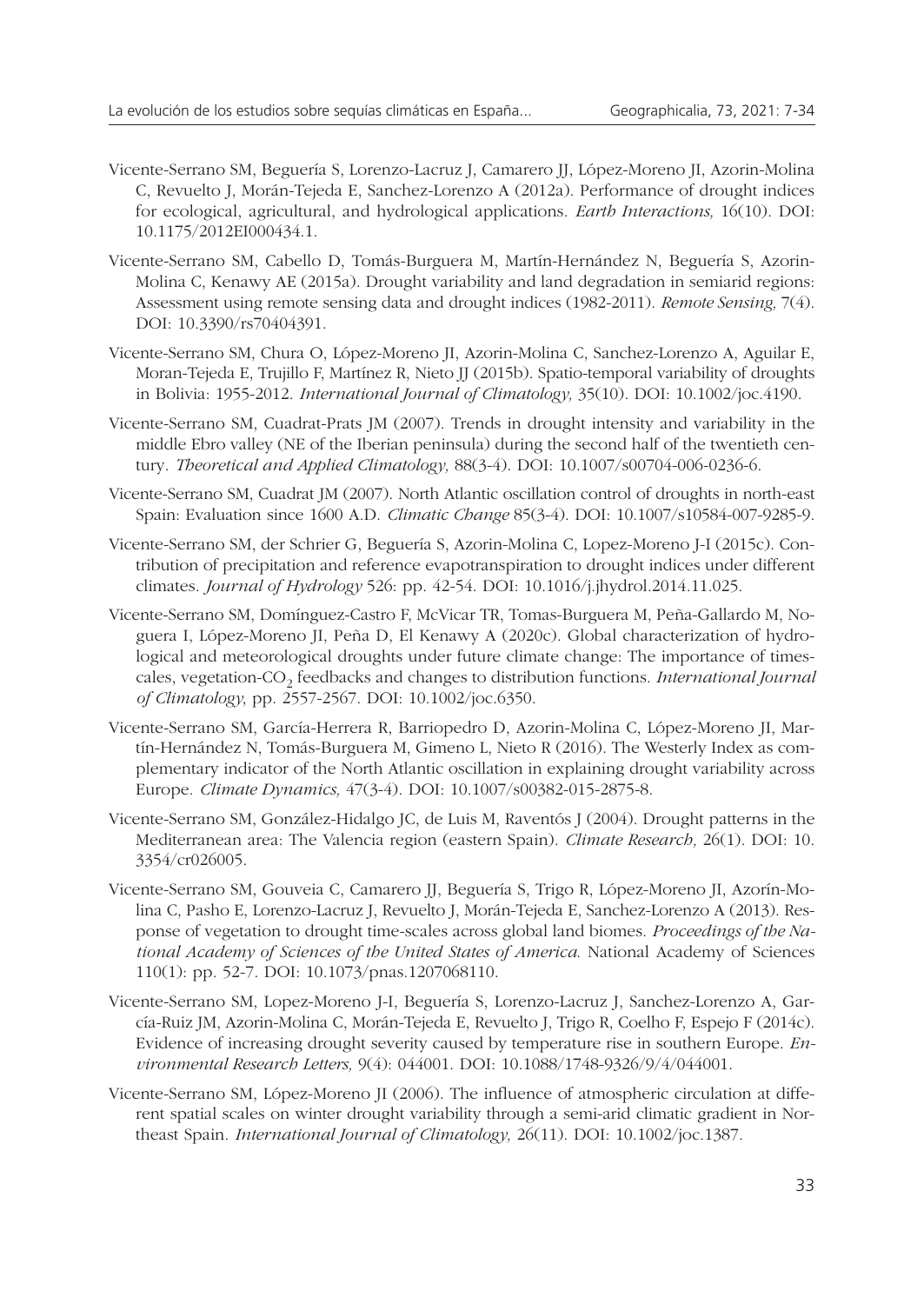- Vicente-Serrano SM, Beguería S, Lorenzo-Lacruz J, Camarero JJ, López-Moreno JI, Azorin-Molina C, Revuelto J, Morán-Tejeda E, Sanchez-Lorenzo A (2012a). Performance of drought indices for ecological, agricultural, and hydrological applications. *Earth Interactions,* 16(10). DOI: 10.1175/2012EI000434.1.
- Vicente-Serrano SM, Cabello D, Tomás-Burguera M, Martín-Hernández N, Beguería S, Azorin-Molina C, Kenawy AE (2015a). Drought variability and land degradation in semiarid regions: Assessment using remote sensing data and drought indices (1982-2011). *Remote Sensing,* 7(4). DOI: 10.3390/rs70404391.
- Vicente-Serrano SM, Chura O, López-Moreno JI, Azorin-Molina C, Sanchez-Lorenzo A, Aguilar E, Moran-Tejeda E, Trujillo F, Martínez R, Nieto JJ (2015b). Spatio-temporal variability of droughts in Bolivia: 1955-2012. *International Journal of Climatology,* 35(10). DOI: 10.1002/joc.4190.
- Vicente-Serrano SM, Cuadrat-Prats JM (2007). Trends in drought intensity and variability in the middle Ebro valley (NE of the Iberian peninsula) during the second half of the twentieth century. *Theoretical and Applied Climatology,* 88(3-4). DOI: 10.1007/s00704-006-0236-6.
- Vicente-Serrano SM, Cuadrat JM (2007). North Atlantic oscillation control of droughts in north-east Spain: Evaluation since 1600 A.D. *Climatic Change* 85(3-4). DOI: 10.1007/s10584-007-9285-9.
- Vicente-Serrano SM, der Schrier G, Beguería S, Azorin-Molina C, Lopez-Moreno J-I (2015c). Contribution of precipitation and reference evapotranspiration to drought indices under different climates. *Journal of Hydrology* 526: pp. 42-54. DOI: 10.1016/j.jhydrol.2014.11.025.
- Vicente-Serrano SM, Domínguez-Castro F, McVicar TR, Tomas-Burguera M, Peña-Gallardo M, Noguera I, López-Moreno JI, Peña D, El Kenawy A (2020c). Global characterization of hydrological and meteorological droughts under future climate change: The importance of timescales, vegetation-CO<sub>2</sub> feedbacks and changes to distribution functions. *International Journal of Climatology*, pp. 2557-2567. DOI: 10.1002/joc.6350.
- Vicente-Serrano SM, García-Herrera R, Barriopedro D, Azorin-Molina C, López-Moreno JI, Martín-Hernández N, Tomás-Burguera M, Gimeno L, Nieto R (2016). The Westerly Index as complementary indicator of the North Atlantic oscillation in explaining drought variability across Europe. *Climate Dynamics,* 47(3-4). DOI: 10.1007/s00382-015-2875-8.
- Vicente-Serrano SM, González-Hidalgo JC, de Luis M, Raventós J (2004). Drought patterns in the Mediterranean area: The Valencia region (eastern Spain). *Climate Research,* 26(1). DOI: 10. 3354/cr026005.
- Vicente-Serrano SM, Gouveia C, Camarero JJ, Beguería S, Trigo R, López-Moreno JI, Azorín-Molina C, Pasho E, Lorenzo-Lacruz J, Revuelto J, Morán-Tejeda E, Sanchez-Lorenzo A (2013). Response of vegetation to drought time-scales across global land biomes. *Proceedings of the National Academy of Sciences of the United States of America*. National Academy of Sciences 110(1): pp. 52-7. DOI: 10.1073/pnas.1207068110.
- Vicente-Serrano SM, Lopez-Moreno J-I, Beguería S, Lorenzo-Lacruz J, Sanchez-Lorenzo A, García-Ruiz JM, Azorin-Molina C, Morán-Tejeda E, Revuelto J, Trigo R, Coelho F, Espejo F (2014c). Evidence of increasing drought severity caused by temperature rise in southern Europe. *Environmental Research Letters,* 9(4): 044001. DOI: 10.1088/1748-9326/9/4/044001.
- Vicente-Serrano SM, López-Moreno JI (2006). The influence of atmospheric circulation at different spatial scales on winter drought variability through a semi-arid climatic gradient in Northeast Spain. *International Journal of Climatology,* 26(11). DOI: 10.1002/joc.1387.